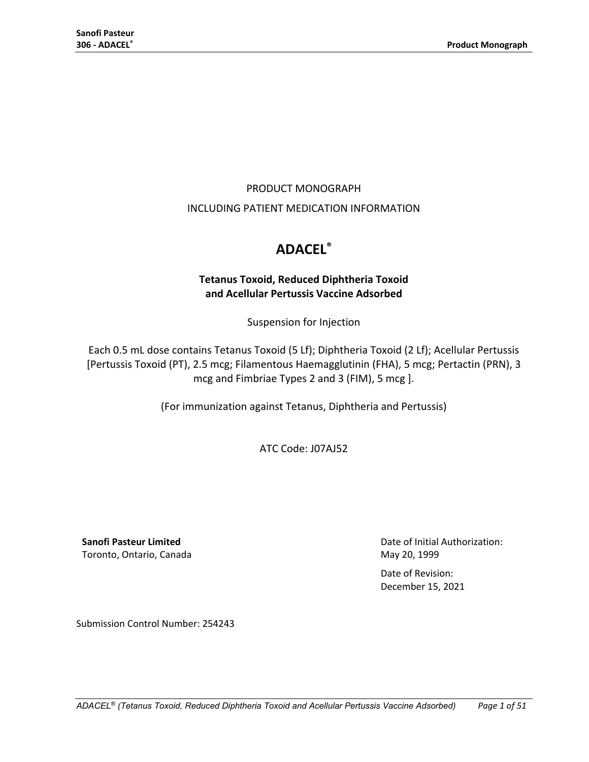## PRODUCT MONOGRAPH

## INCLUDING PATIENT MEDICATION INFORMATION

# **ADACEL®**

## **Tetanus Toxoid, Reduced Diphtheria Toxoid and Acellular Pertussis Vaccine Adsorbed**

Suspension for Injection

Each 0.5 mL dose contains Tetanus Toxoid (5 Lf); Diphtheria Toxoid (2 Lf); Acellular Pertussis [Pertussis Toxoid (PT), 2.5 mcg; Filamentous Haemagglutinin (FHA), 5 mcg; Pertactin (PRN), 3 mcg and Fimbriae Types 2 and 3 (FIM), 5 mcg ].

(For immunization against Tetanus, Diphtheria and Pertussis)

ATC Code: J07AJ52

**Sanofi Pasteur Limited** Toronto, Ontario, Canada Date of Initial Authorization: May 20, 1999

Date of Revision: December 15, 2021

Submission Control Number: 254243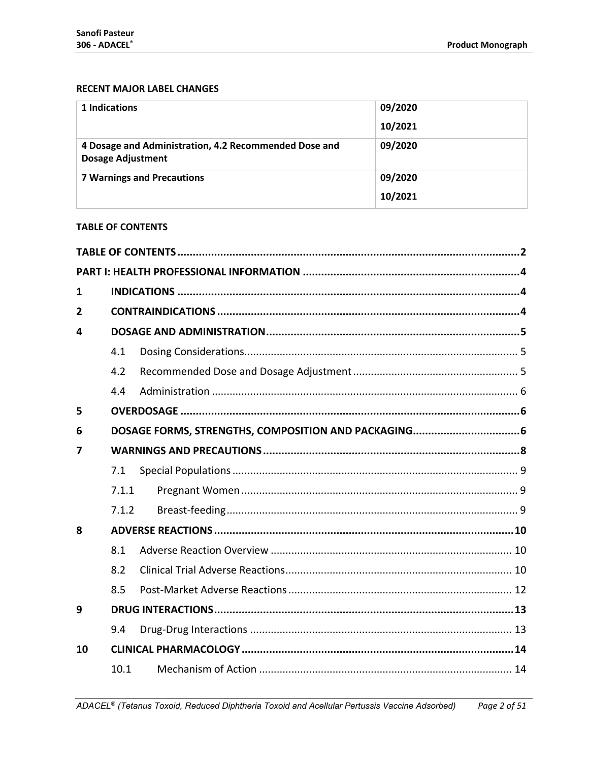## **RECENT MAJOR LABEL CHANGES**

| 1 Indications                                                                     | 09/2020 |
|-----------------------------------------------------------------------------------|---------|
|                                                                                   | 10/2021 |
| 4 Dosage and Administration, 4.2 Recommended Dose and<br><b>Dosage Adjustment</b> | 09/2020 |
| <b>7 Warnings and Precautions</b>                                                 | 09/2020 |
|                                                                                   | 10/2021 |

#### <span id="page-1-0"></span>**TABLE OF CONTENTS**

| 1  |       |  |  |  |  |  |
|----|-------|--|--|--|--|--|
| 2  |       |  |  |  |  |  |
| 4  |       |  |  |  |  |  |
|    | 4.1   |  |  |  |  |  |
|    | 4.2   |  |  |  |  |  |
|    | 4.4   |  |  |  |  |  |
| 5  |       |  |  |  |  |  |
| 6  |       |  |  |  |  |  |
| 7  |       |  |  |  |  |  |
|    | 7.1   |  |  |  |  |  |
|    | 7.1.1 |  |  |  |  |  |
|    | 7.1.2 |  |  |  |  |  |
| 8  |       |  |  |  |  |  |
|    | 8.1   |  |  |  |  |  |
|    | 8.2   |  |  |  |  |  |
|    | 8.5   |  |  |  |  |  |
| 9  |       |  |  |  |  |  |
|    | 9.4   |  |  |  |  |  |
| 10 |       |  |  |  |  |  |
|    | 10.1  |  |  |  |  |  |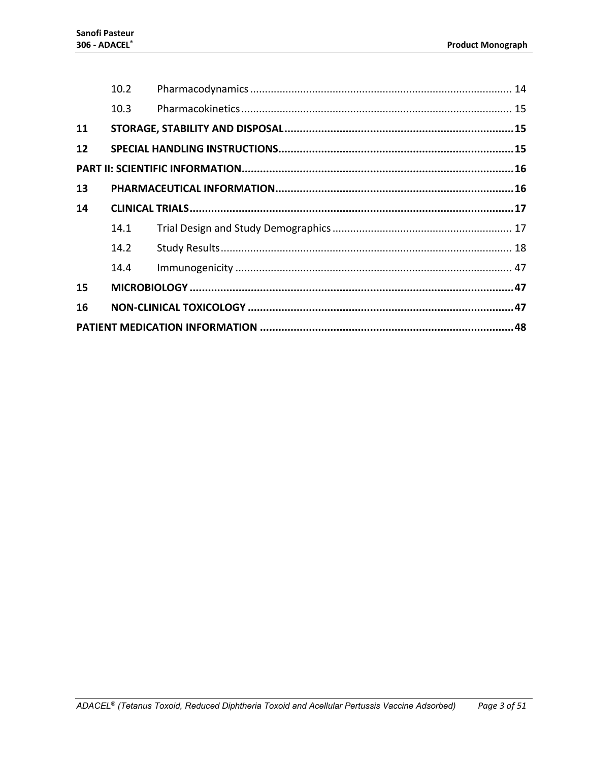|    | 10.2 |  |  |  |  |
|----|------|--|--|--|--|
|    | 10.3 |  |  |  |  |
| 11 |      |  |  |  |  |
| 12 |      |  |  |  |  |
|    |      |  |  |  |  |
| 13 |      |  |  |  |  |
| 14 |      |  |  |  |  |
|    | 14.1 |  |  |  |  |
|    | 14.2 |  |  |  |  |
|    | 14.4 |  |  |  |  |
| 15 |      |  |  |  |  |
| 16 |      |  |  |  |  |
|    |      |  |  |  |  |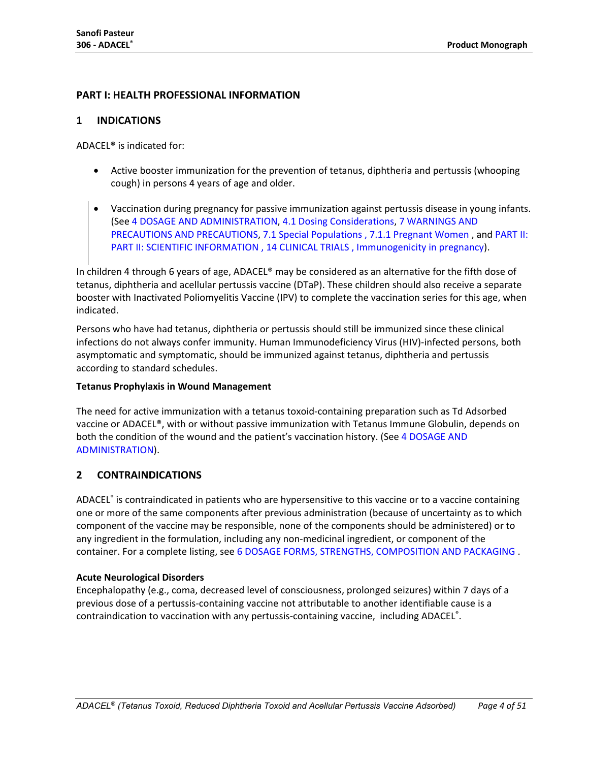## <span id="page-3-0"></span>**PART I: HEALTH PROFESSIONAL INFORMATION**

## <span id="page-3-1"></span>**1 INDICATIONS**

ADACEL® is indicated for:

- Active booster immunization for the prevention of tetanus, diphtheria and pertussis (whooping cough) in persons 4 years of age and older.
- Vaccination during pregnancy for passive immunization against pertussis disease in young infants. (See 4 DOSAGE [AND ADMINISTRATION,](#page-4-0) 4.1 [Dosing Considerations,](#page-4-1) 7 [WARNINGS AND](#page-7-0)  [PRECAUTIONS](#page-7-0) AND PRECAUTIONS, 7.1 [Special Populations](#page-8-0) , 7.1.1 [Pregnant Women](#page-8-1) , and PART II: [PART II: SCIENTIFIC INFORMATION](#page-15-0) , 14 [CLINICAL TRIALS](#page-16-0) , [Immunogenicity](#page-45-0) in pregnancy).

In children 4 through 6 years of age, ADACEL® may be considered as an alternative for the fifth dose of tetanus, diphtheria and acellular pertussis vaccine (DTaP). These children should also receive a separate booster with Inactivated Poliomyelitis Vaccine (IPV) to complete the vaccination series for this age, when indicated.

Persons who have had tetanus, diphtheria or pertussis should still be immunized since these clinical infections do not always confer immunity. Human Immunodeficiency Virus (HIV)-infected persons, both asymptomatic and symptomatic, should be immunized against tetanus, diphtheria and pertussis according to standard schedules.

#### **Tetanus Prophylaxis in Wound Management**

The need for active immunization with a tetanus toxoid-containing preparation such as Td Adsorbed vaccine or ADACEL®, with or without passive immunization with Tetanus Immune Globulin, depends on both the condition of the wound and the patient's vaccination history. (See 4 [DOSAGE](#page-4-0) AND [ADMINISTRATION\)](#page-4-0).

## <span id="page-3-2"></span>**2 CONTRAINDICATIONS**

ADACEL® is contraindicated in patients who are hypersensitive to this vaccine or to a vaccine containing one or more of the same components after previous administration (because of uncertainty as to which component of the vaccine may be responsible, none of the components should be administered) or to any ingredient in the formulation, including any non-medicinal ingredient, or component of the container. For a complete listing, see [6 DOSAGE FORMS, STRENGTHS, COMPOSITION AND PACKAGING](#page-5-2) .

#### **Acute Neurological Disorders**

Encephalopathy (e.g., coma, decreased level of consciousness, prolonged seizures) within 7 days of a previous dose of a pertussis-containing vaccine not attributable to another identifiable cause is a contraindication to vaccination with any pertussis-containing vaccine, including ADACEL<sup>®</sup>.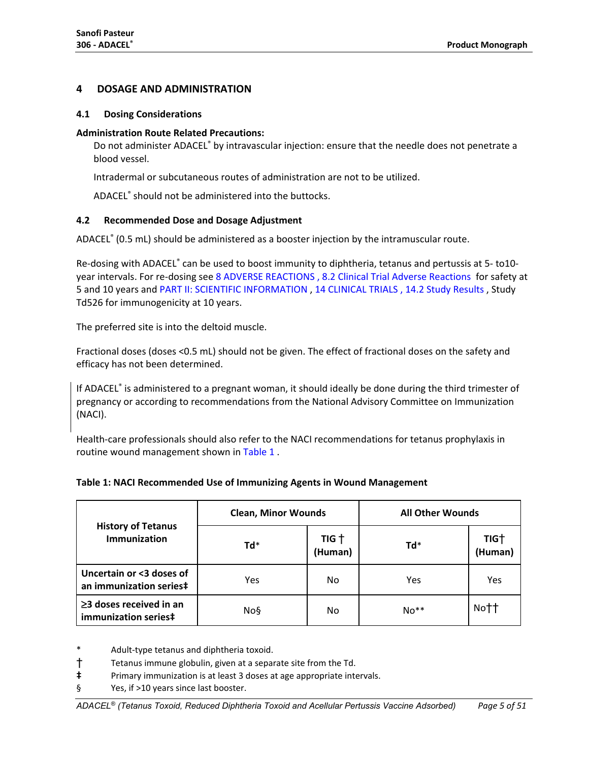## <span id="page-4-0"></span>**4 DOSAGE AND ADMINISTRATION**

#### <span id="page-4-1"></span>**4.1 Dosing Considerations**

#### **Administration Route Related Precautions:**

Do not administer ADACEL® by intravascular injection: ensure that the needle does not penetrate a blood vessel.

Intradermal or subcutaneous routes of administration are not to be utilized.

ADACEL® should not be administered into the buttocks.

## <span id="page-4-2"></span>**4.2 Recommended Dose and Dosage Adjustment**

ADACEL® (0.5 mL) should be administered as a booster injection by the intramuscular route.

Re-dosing with ADACEL® can be used to boost immunity to diphtheria, tetanus and pertussis at 5- to10year intervals. For re-dosing see [8 ADVERSE REACTIONS](#page-9-0) , [8.2 Clinical Trial Adverse Reactions](#page-9-2) for safety at 5 and 10 years and [PART II: SCIENTIFIC INFORMATION](#page-15-0) [, 14 CLINICAL TRIALS](#page-16-0) , [14.2 Study Results](#page-17-0) , Study Td526 for immunogenicity at 10 years.

The preferred site is into the deltoid muscle.

Fractional doses (doses <0.5 mL) should not be given. The effect of fractional doses on the safety and efficacy has not been determined.

If ADACEL® is administered to a pregnant woman, it should ideally be done during the third trimester of pregnancy or according to recommendations from the National Advisory Committee on Immunization (NACI).

Health-care professionals should also refer to the NACI recommendations for tetanus prophylaxis in routine wound management shown in [Table 1](#page-4-3) .

<span id="page-4-3"></span>

|                                                       | <b>Clean, Minor Wounds</b> |                             | <b>All Other Wounds</b> |                             |  |
|-------------------------------------------------------|----------------------------|-----------------------------|-------------------------|-----------------------------|--|
| <b>History of Tetanus</b><br><b>Immunization</b>      | Td*                        | TIG <sup>+</sup><br>(Human) | $Td^*$                  | TIG <sup>+</sup><br>(Human) |  |
| Uncertain or <3 doses of<br>an immunization series‡   | Yes                        | No.                         | Yes                     | Yes                         |  |
| $\geq$ 3 doses received in an<br>immunization series‡ | No§                        | No                          | $No**$                  | Nott                        |  |

\* Adult-type tetanus and diphtheria toxoid.

- † Tetanus immune globulin, given at a separate site from the Td.
- **‡** Primary immunization is at least 3 doses at age appropriate intervals.
- § Yes, if >10 years since last booster.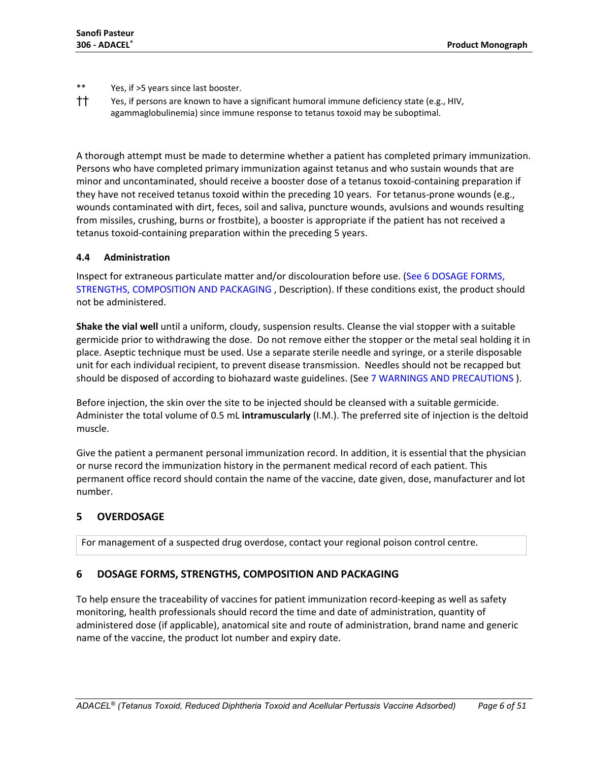\*\* Yes, if >5 years since last booster.

†† Yes, if persons are known to have a significant humoral immune deficiency state (e.g., HIV, agammaglobulinemia) since immune response to tetanus toxoid may be suboptimal.

A thorough attempt must be made to determine whether a patient has completed primary immunization. Persons who have completed primary immunization against tetanus and who sustain wounds that are minor and uncontaminated, should receive a booster dose of a tetanus toxoid-containing preparation if they have not received tetanus toxoid within the preceding 10 years. For tetanus-prone wounds (e.g., wounds contaminated with dirt, feces, soil and saliva, puncture wounds, avulsions and wounds resulting from missiles, crushing, burns or frostbite), a booster is appropriate if the patient has not received a tetanus toxoid-containing preparation within the preceding 5 years.

## <span id="page-5-0"></span>**4.4 Administration**

Inspect for extraneous particulate matter and/or discolouration before use. (See 6 DOSAGE [FORMS,](#page-5-2)  [STRENGTHS, COMPOSITION AND PACKAGING](#page-5-2) , Description). If these conditions exist, the product should not be administered.

**Shake the vial well** until a uniform, cloudy, suspension results. Cleanse the vial stopper with a suitable germicide prior to withdrawing the dose. Do not remove either the stopper or the metal seal holding it in place. Aseptic technique must be used. Use a separate sterile needle and syringe, or a sterile disposable unit for each individual recipient, to prevent disease transmission. Needles should not be recapped but should be disposed of according to biohazard waste guidelines. (Se[e 7 WARNINGS AND PRECAUTIONS](#page-7-0) ).

Before injection, the skin over the site to be injected should be cleansed with a suitable germicide. Administer the total volume of 0.5 mL **intramuscularly** (I.M.). The preferred site of injection is the deltoid muscle.

Give the patient a permanent personal immunization record. In addition, it is essential that the physician or nurse record the immunization history in the permanent medical record of each patient. This permanent office record should contain the name of the vaccine, date given, dose, manufacturer and lot number.

## <span id="page-5-1"></span>**5 OVERDOSAGE**

For management of a suspected drug overdose, contact your regional poison control centre.

## <span id="page-5-2"></span>**6 DOSAGE FORMS, STRENGTHS, COMPOSITION AND PACKAGING**

To help ensure the traceability of vaccines for patient immunization record-keeping as well as safety monitoring, health professionals should record the time and date of administration, quantity of administered dose (if applicable), anatomical site and route of administration, brand name and generic name of the vaccine, the product lot number and expiry date.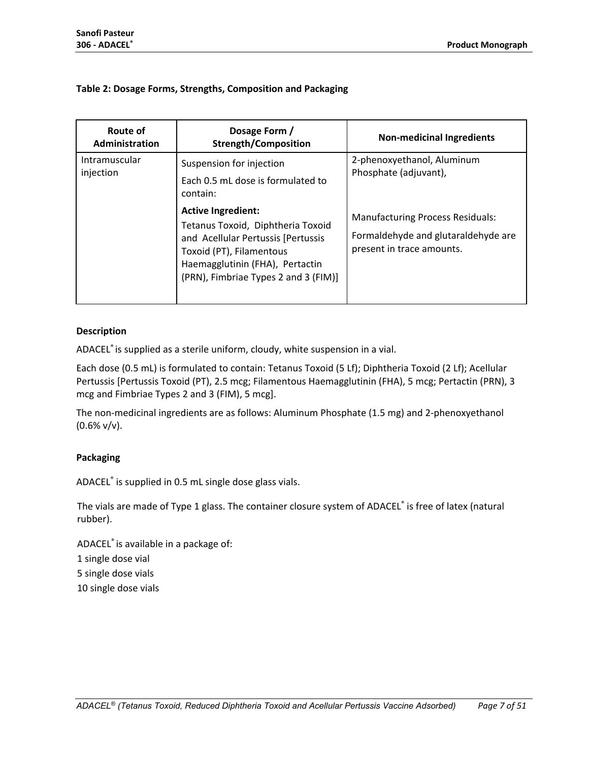#### **Table 2: Dosage Forms, Strengths, Composition and Packaging**

| <b>Route of</b><br>Administration | Dosage Form /<br><b>Strength/Composition</b>                                                                                                                                                                | <b>Non-medicinal Ingredients</b>                                                                            |
|-----------------------------------|-------------------------------------------------------------------------------------------------------------------------------------------------------------------------------------------------------------|-------------------------------------------------------------------------------------------------------------|
| Intramuscular<br>injection        | Suspension for injection<br>Each 0.5 mL dose is formulated to<br>contain:                                                                                                                                   | 2-phenoxyethanol, Aluminum<br>Phosphate (adjuvant),                                                         |
|                                   | <b>Active Ingredient:</b><br>Tetanus Toxoid, Diphtheria Toxoid<br>and Acellular Pertussis [Pertussis<br>Toxoid (PT), Filamentous<br>Haemagglutinin (FHA), Pertactin<br>(PRN), Fimbriae Types 2 and 3 (FIM)] | <b>Manufacturing Process Residuals:</b><br>Formaldehyde and glutaraldehyde are<br>present in trace amounts. |

#### **Description**

ADACEL® is supplied as a sterile uniform, cloudy, white suspension in a vial.

Each dose (0.5 mL) is formulated to contain: Tetanus Toxoid (5 Lf); Diphtheria Toxoid (2 Lf); Acellular Pertussis [Pertussis Toxoid (PT), 2.5 mcg; Filamentous Haemagglutinin (FHA), 5 mcg; Pertactin (PRN), 3 mcg and Fimbriae Types 2 and 3 (FIM), 5 mcg].

The non-medicinal ingredients are as follows: Aluminum Phosphate (1.5 mg) and 2-phenoxyethanol  $(0.6\% \text{ v/v}).$ 

#### **Packaging**

ADACEL® is supplied in 0.5 mL single dose glass vials.

The vials are made of Type 1 glass. The container closure system of ADACEL® is free of latex (natural rubber).

ADACEL® is available in a package of: 1 single dose vial 5 single dose vials 10 single dose vials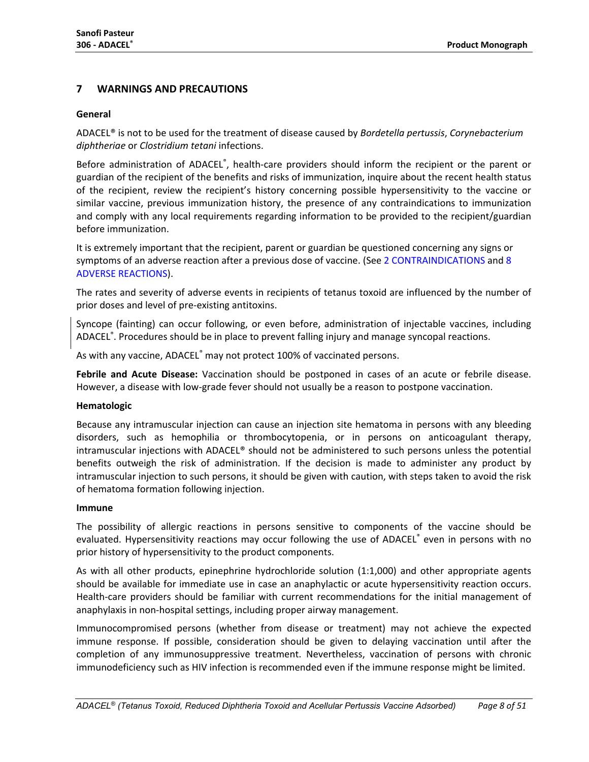## <span id="page-7-0"></span>**7 WARNINGS AND PRECAUTIONS**

#### **General**

ADACEL® is not to be used for the treatment of disease caused by *Bordetella pertussis*, *Corynebacterium diphtheriae* or *Clostridium tetani* infections.

Before administration of ADACEL®, health-care providers should inform the recipient or the parent or guardian of the recipient of the benefits and risks of immunization, inquire about the recent health status of the recipient, review the recipient's history concerning possible hypersensitivity to the vaccine or similar vaccine, previous immunization history, the presence of any contraindications to immunization and comply with any local requirements regarding information to be provided to the recipient/guardian before immunization.

It is extremely important that the recipient, parent or guardian be questioned concerning any signs or symptoms of an adverse reaction after a previous dose of vaccine. (See 2 [CONTRAINDICATIONS](#page-3-2) and 8 [ADVERSE REACTIONS\)](#page-9-0).

The rates and severity of adverse events in recipients of tetanus toxoid are influenced by the number of prior doses and level of pre-existing antitoxins.

Syncope (fainting) can occur following, or even before, administration of injectable vaccines, including ADACEL® . Procedures should be in place to prevent falling injury and manage syncopal reactions.

As with any vaccine, ADACEL<sup>®</sup> may not protect 100% of vaccinated persons.

**Febrile and Acute Disease:** Vaccination should be postponed in cases of an acute or febrile disease. However, a disease with low-grade fever should not usually be a reason to postpone vaccination.

#### **Hematologic**

Because any intramuscular injection can cause an injection site hematoma in persons with any bleeding disorders, such as hemophilia or thrombocytopenia, or in persons on anticoagulant therapy, intramuscular injections with ADACEL® should not be administered to such persons unless the potential benefits outweigh the risk of administration. If the decision is made to administer any product by intramuscular injection to such persons, it should be given with caution, with steps taken to avoid the risk of hematoma formation following injection.

#### **Immune**

The possibility of allergic reactions in persons sensitive to components of the vaccine should be evaluated. Hypersensitivity reactions may occur following the use of ADACEL® even in persons with no prior history of hypersensitivity to the product components.

As with all other products, epinephrine hydrochloride solution (1:1,000) and other appropriate agents should be available for immediate use in case an anaphylactic or acute hypersensitivity reaction occurs. Health-care providers should be familiar with current recommendations for the initial management of anaphylaxis in non-hospital settings, including proper airway management.

Immunocompromised persons (whether from disease or treatment) may not achieve the expected immune response. If possible, consideration should be given to delaying vaccination until after the completion of any immunosuppressive treatment. Nevertheless, vaccination of persons with chronic immunodeficiency such as HIV infection is recommended even if the immune response might be limited.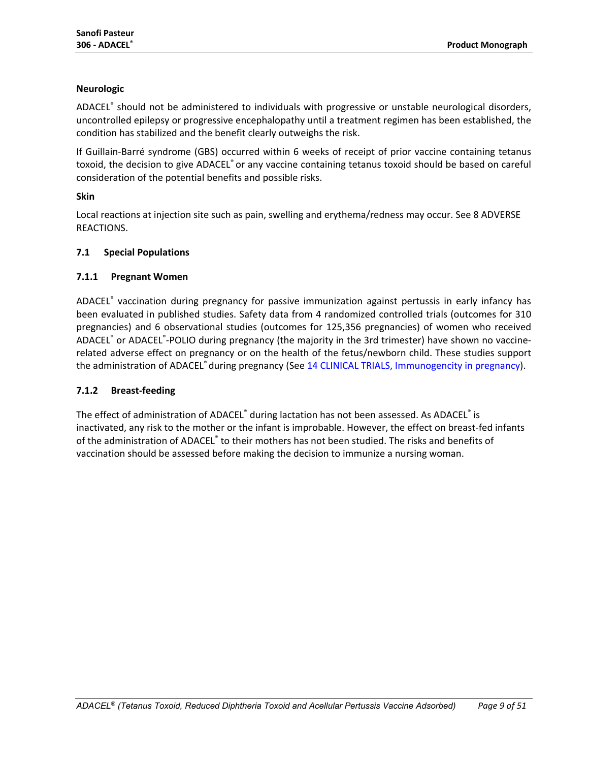## **Neurologic**

ADACEL® should not be administered to individuals with progressive or unstable neurological disorders, uncontrolled epilepsy or progressive encephalopathy until a treatment regimen has been established, the condition has stabilized and the benefit clearly outweighs the risk.

If Guillain-Barré syndrome (GBS) occurred within 6 weeks of receipt of prior vaccine containing tetanus toxoid, the decision to give ADACEL® or any vaccine containing tetanus toxoid should be based on careful consideration of the potential benefits and possible risks.

#### **Skin**

Local reactions at injection site such as pain, swelling and erythema/redness may occur. See 8 ADVERSE REACTIONS.

#### <span id="page-8-0"></span>**7.1 Special Populations**

## <span id="page-8-1"></span>**7.1.1 Pregnant Women**

ADACEL® vaccination during pregnancy for passive immunization against pertussis in early infancy has been evaluated in published studies. Safety data from 4 randomized controlled trials (outcomes for 310 pregnancies) and 6 observational studies (outcomes for 125,356 pregnancies) of women who received ADACEL<sup>®</sup> or ADACEL<sup>®</sup>-POLIO during pregnancy (the majority in the 3rd trimester) have shown no vaccinerelated adverse effect on pregnancy or on the health of the fetus/newborn child. These studies support the administration of ADACEL<sup>®</sup> during pregnancy (See 14 [CLINICAL](#page-16-0) TRIALS, [Immunogencity](#page-45-0) in pregnancy).

#### <span id="page-8-2"></span>**7.1.2 Breast-feeding**

The effect of administration of ADACEL® during lactation has not been assessed. As ADACEL® is inactivated, any risk to the mother or the infant is improbable. However, the effect on breast-fed infants of the administration of ADACEL<sup>®</sup> to their mothers has not been studied. The risks and benefits of vaccination should be assessed before making the decision to immunize a nursing woman.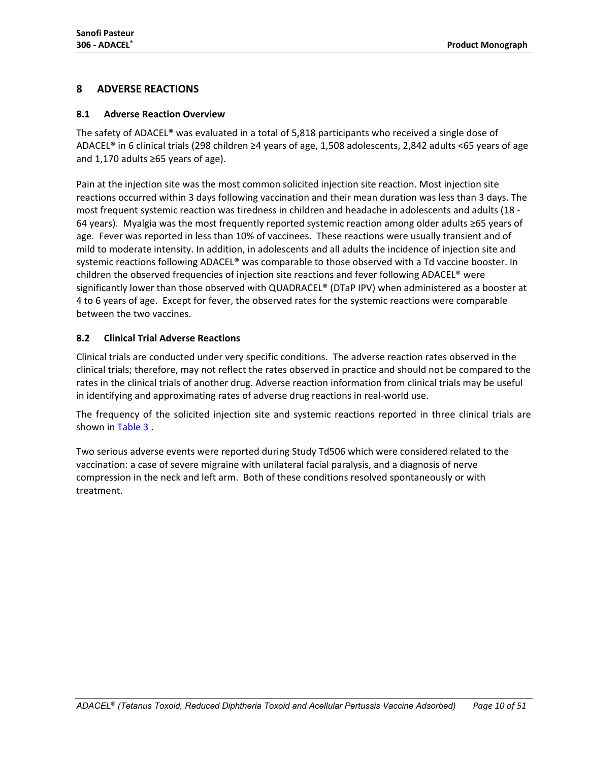## <span id="page-9-0"></span>**8 ADVERSE REACTIONS**

#### <span id="page-9-1"></span>**8.1 Adverse Reaction Overview**

The safety of ADACEL® was evaluated in a total of 5,818 participants who received a single dose of ADACEL® in 6 clinical trials (298 children ≥4 years of age, 1,508 adolescents, 2,842 adults <65 years of age and 1,170 adults ≥65 years of age).

Pain at the injection site was the most common solicited injection site reaction. Most injection site reactions occurred within 3 days following vaccination and their mean duration was less than 3 days. The most frequent systemic reaction was tiredness in children and headache in adolescents and adults (18 - 64 years). Myalgia was the most frequently reported systemic reaction among older adults ≥65 years of age. Fever was reported in less than 10% of vaccinees. These reactions were usually transient and of mild to moderate intensity. In addition, in adolescents and all adults the incidence of injection site and systemic reactions following ADACEL® was comparable to those observed with a Td vaccine booster. In children the observed frequencies of injection site reactions and fever following ADACEL® were significantly lower than those observed with QUADRACEL® (DTaP IPV) when administered as a booster at 4 to 6 years of age. Except for fever, the observed rates for the systemic reactions were comparable between the two vaccines.

## <span id="page-9-2"></span>**8.2 Clinical Trial Adverse Reactions**

Clinical trials are conducted under very specific conditions. The adverse reaction rates observed in the clinical trials; therefore, may not reflect the rates observed in practice and should not be compared to the rates in the clinical trials of another drug. Adverse reaction information from clinical trials may be useful in identifying and approximating rates of adverse drug reactions in real-world use.

The frequency of the solicited injection site and systemic reactions reported in three clinical trials are shown in [Table 3](#page-10-0) .

Two serious adverse events were reported during Study Td506 which were considered related to the vaccination: a case of severe migraine with unilateral facial paralysis, and a diagnosis of nerve compression in the neck and left arm. Both of these conditions resolved spontaneously or with treatment.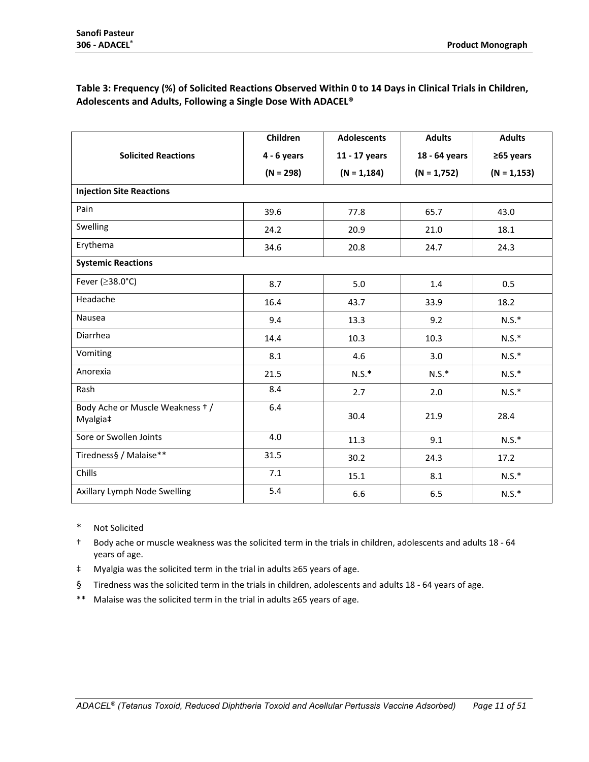## <span id="page-10-0"></span>**Table 3: Frequency (%) of Solicited Reactions Observed Within 0 to 14 Days in Clinical Trials in Children, Adolescents and Adults, Following a Single Dose With ADACEL®**

|                                             | Children      | <b>Adolescents</b> | <b>Adults</b> | <b>Adults</b>  |
|---------------------------------------------|---------------|--------------------|---------------|----------------|
| <b>Solicited Reactions</b>                  | $4 - 6$ years | 11 - 17 years      | 18 - 64 years | $≥65$ years    |
|                                             | $(N = 298)$   | $(N = 1, 184)$     | $(N = 1,752)$ | $(N = 1, 153)$ |
| <b>Injection Site Reactions</b>             |               |                    |               |                |
| Pain                                        | 39.6          | 77.8               | 65.7          | 43.0           |
| Swelling                                    | 24.2          | 20.9               | 21.0          | 18.1           |
| Erythema                                    | 34.6          | 20.8               | 24.7          | 24.3           |
| <b>Systemic Reactions</b>                   |               |                    |               |                |
| Fever (≥38.0°C)                             | 8.7           | 5.0                | 1.4           | 0.5            |
| Headache                                    | 16.4          | 43.7               | 33.9          | 18.2           |
| Nausea                                      | 9.4           | 13.3               | 9.2           | $N.S.*$        |
| Diarrhea                                    | 14.4          | 10.3               | 10.3          | $N.S.*$        |
| Vomiting                                    | 8.1           | 4.6                | 3.0           | $N.S.*$        |
| Anorexia                                    | 21.5          | $N.S.*$            | $N.S.*$       | $N.S.*$        |
| Rash                                        | 8.4           | 2.7                | 2.0           | $N.S.*$        |
| Body Ache or Muscle Weakness +/<br>Myalgia‡ | 6.4           | 30.4               | 21.9          | 28.4           |
| Sore or Swollen Joints                      | 4.0           | 11.3               | 9.1           | $N.S.*$        |
| Tiredness§ / Malaise**                      | 31.5          | 30.2               | 24.3          | 17.2           |
| Chills                                      | 7.1           | 15.1               | 8.1           | $N.S.*$        |
| Axillary Lymph Node Swelling                | 5.4           | 6.6                | 6.5           | $N.S.*$        |

- \* Not Solicited
- † Body ache or muscle weakness was the solicited term in the trials in children, adolescents and adults 18 64 years of age.
- ‡ Myalgia was the solicited term in the trial in adults ≥65 years of age.
- § Tiredness was the solicited term in the trials in children, adolescents and adults 18 64 years of age.
- \*\* Malaise was the solicited term in the trial in adults ≥65 years of age.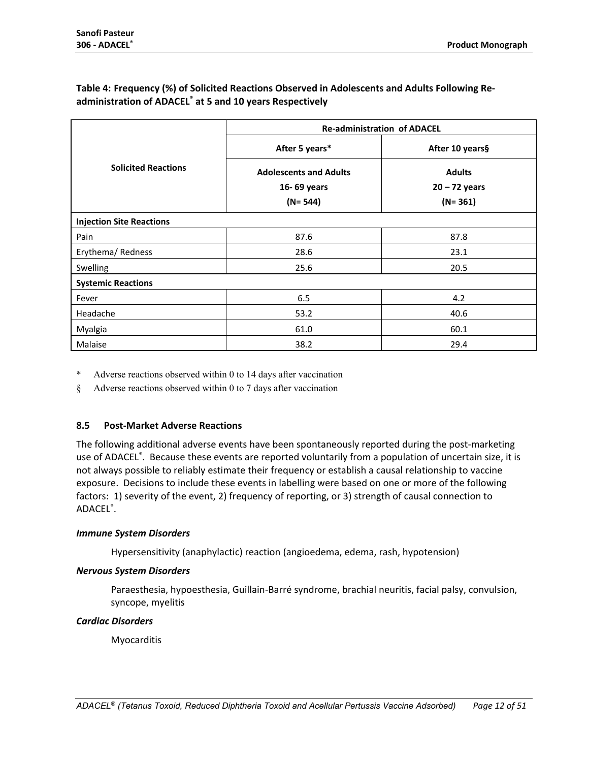## **Table 4: Frequency (%) of Solicited Reactions Observed in Adolescents and Adults Following Readministration of ADACEL® at 5 and 10 years Respectively**

|                                 | <b>Re-administration of ADACEL</b> |                 |  |  |  |  |
|---------------------------------|------------------------------------|-----------------|--|--|--|--|
|                                 | After 5 years*                     | After 10 years§ |  |  |  |  |
| <b>Solicited Reactions</b>      | <b>Adolescents and Adults</b>      | <b>Adults</b>   |  |  |  |  |
|                                 | 16-69 years                        | $20 - 72$ years |  |  |  |  |
|                                 | $(N= 544)$                         | $(N = 361)$     |  |  |  |  |
| <b>Injection Site Reactions</b> |                                    |                 |  |  |  |  |
| Pain                            | 87.6                               | 87.8            |  |  |  |  |
| Erythema/Redness                | 28.6                               | 23.1            |  |  |  |  |
| Swelling                        | 25.6                               | 20.5            |  |  |  |  |
| <b>Systemic Reactions</b>       |                                    |                 |  |  |  |  |
| Fever                           | 6.5                                | 4.2             |  |  |  |  |
| Headache                        | 53.2                               | 40.6            |  |  |  |  |
| Myalgia                         | 61.0                               | 60.1            |  |  |  |  |
| Malaise                         | 38.2                               | 29.4            |  |  |  |  |

\* Adverse reactions observed within 0 to 14 days after vaccination

§ Adverse reactions observed within 0 to 7 days after vaccination

#### <span id="page-11-0"></span>**8.5 Post-Market Adverse Reactions**

The following additional adverse events have been spontaneously reported during the post-marketing use of ADACEL<sup>®</sup>. Because these events are reported voluntarily from a population of uncertain size, it is not always possible to reliably estimate their frequency or establish a causal relationship to vaccine exposure. Decisions to include these events in labelling were based on one or more of the following factors: 1) severity of the event, 2) frequency of reporting, or 3) strength of causal connection to ADACEL® .

#### *Immune System Disorders*

Hypersensitivity (anaphylactic) reaction (angioedema, edema, rash, hypotension)

#### *Nervous System Disorders*

Paraesthesia, hypoesthesia, Guillain-Barré syndrome, brachial neuritis, facial palsy, convulsion, syncope, myelitis

#### *Cardiac Disorders*

Myocarditis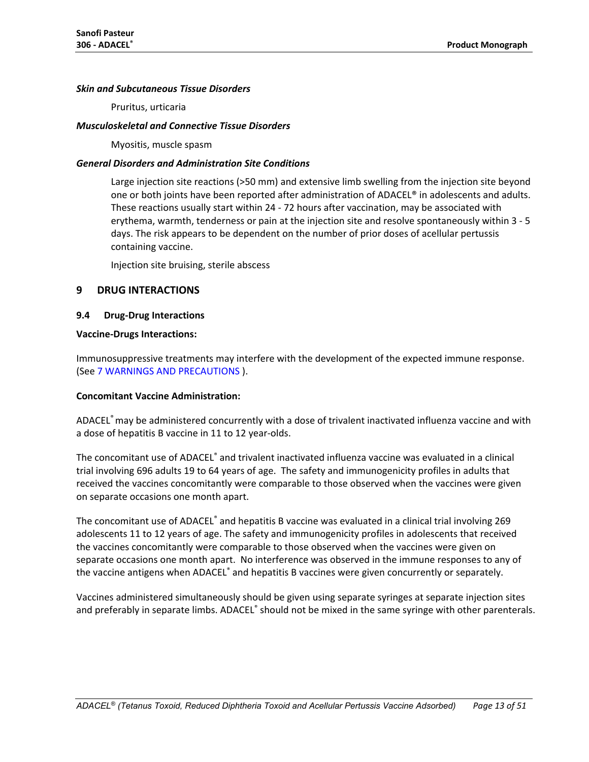#### *Skin and Subcutaneous Tissue Disorders*

Pruritus, urticaria

#### *Musculoskeletal and Connective Tissue Disorders*

Myositis, muscle spasm

#### *General Disorders and Administration Site Conditions*

Large injection site reactions (>50 mm) and extensive limb swelling from the injection site beyond one or both joints have been reported after administration of ADACEL® in adolescents and adults. These reactions usually start within 24 - 72 hours after vaccination, may be associated with erythema, warmth, tenderness or pain at the injection site and resolve spontaneously within 3 - 5 days. The risk appears to be dependent on the number of prior doses of acellular pertussis containing vaccine.

Injection site bruising, sterile abscess

#### <span id="page-12-0"></span>**9 DRUG INTERACTIONS**

#### <span id="page-12-1"></span>**9.4 Drug-Drug Interactions**

#### **Vaccine-Drugs Interactions:**

Immunosuppressive treatments may interfere with the development of the expected immune response. (See 7 [WARNINGS AND PRECAUTIONS](#page-7-0) ).

#### **Concomitant Vaccine Administration:**

ADACEL® may be administered concurrently with a dose of trivalent inactivated influenza vaccine and with a dose of hepatitis B vaccine in 11 to 12 year-olds.

The concomitant use of ADACEL® and trivalent inactivated influenza vaccine was evaluated in a clinical trial involving 696 adults 19 to 64 years of age. The safety and immunogenicity profiles in adults that received the vaccines concomitantly were comparable to those observed when the vaccines were given on separate occasions one month apart.

The concomitant use of ADACEL® and hepatitis B vaccine was evaluated in a clinical trial involving 269 adolescents 11 to 12 years of age. The safety and immunogenicity profiles in adolescents that received the vaccines concomitantly were comparable to those observed when the vaccines were given on separate occasions one month apart. No interference was observed in the immune responses to any of the vaccine antigens when ADACEL<sup>®</sup> and hepatitis B vaccines were given concurrently or separately.

Vaccines administered simultaneously should be given using separate syringes at separate injection sites and preferably in separate limbs. ADACEL® should not be mixed in the same syringe with other parenterals.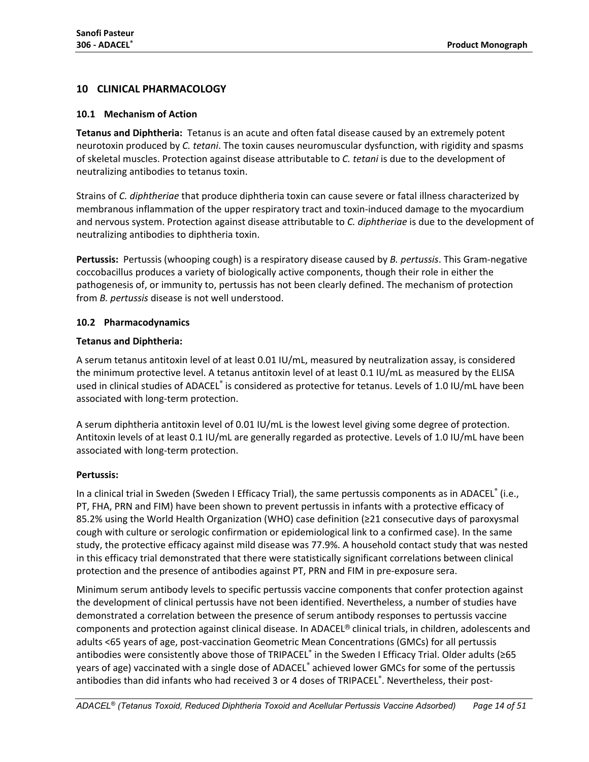## <span id="page-13-0"></span>**10 CLINICAL PHARMACOLOGY**

#### <span id="page-13-1"></span>**10.1 Mechanism of Action**

**Tetanus and Diphtheria:** Tetanus is an acute and often fatal disease caused by an extremely potent neurotoxin produced by *C. tetani*. The toxin causes neuromuscular dysfunction, with rigidity and spasms of skeletal muscles. Protection against disease attributable to *C. tetani* is due to the development of neutralizing antibodies to tetanus toxin.

Strains of *C. diphtheriae* that produce diphtheria toxin can cause severe or fatal illness characterized by membranous inflammation of the upper respiratory tract and toxin-induced damage to the myocardium and nervous system. Protection against disease attributable to *C. diphtheriae* is due to the development of neutralizing antibodies to diphtheria toxin.

**Pertussis:** Pertussis (whooping cough) is a respiratory disease caused by *B. pertussis*. This Gram-negative coccobacillus produces a variety of biologically active components, though their role in either the pathogenesis of, or immunity to, pertussis has not been clearly defined. The mechanism of protection from *B. pertussis* disease is not well understood.

## <span id="page-13-2"></span>**10.2 Pharmacodynamics**

## **Tetanus and Diphtheria:**

A serum tetanus antitoxin level of at least 0.01 IU/mL, measured by neutralization assay, is considered the minimum protective level. A tetanus antitoxin level of at least 0.1 IU/mL as measured by the ELISA used in clinical studies of ADACEL® is considered as protective for tetanus. Levels of 1.0 IU/mL have been associated with long-term protection.

A serum diphtheria antitoxin level of 0.01 IU/mL is the lowest level giving some degree of protection. Antitoxin levels of at least 0.1 IU/mL are generally regarded as protective. Levels of 1.0 IU/mL have been associated with long-term protection.

## **Pertussis:**

In a clinical trial in Sweden (Sweden I Efficacy Trial), the same pertussis components as in ADACEL<sup>®</sup> (i.e., PT, FHA, PRN and FIM) have been shown to prevent pertussis in infants with a protective efficacy of 85.2% using the World Health Organization (WHO) case definition (≥21 consecutive days of paroxysmal cough with culture or serologic confirmation or epidemiological link to a confirmed case). In the same study, the protective efficacy against mild disease was 77.9%. A household contact study that was nested in this efficacy trial demonstrated that there were statistically significant correlations between clinical protection and the presence of antibodies against PT, PRN and FIM in pre-exposure sera.

Minimum serum antibody levels to specific pertussis vaccine components that confer protection against the development of clinical pertussis have not been identified. Nevertheless, a number of studies have demonstrated a correlation between the presence of serum antibody responses to pertussis vaccine components and protection against clinical disease. In ADACEL® clinical trials, in children, adolescents and adults <65 years of age, post-vaccination Geometric Mean Concentrations (GMCs) for all pertussis antibodies were consistently above those of TRIPACEL® in the Sweden I Efficacy Trial. Older adults (≥65 years of age) vaccinated with a single dose of ADACEL® achieved lower GMCs for some of the pertussis antibodies than did infants who had received 3 or 4 doses of TRIPACEL®. Nevertheless, their post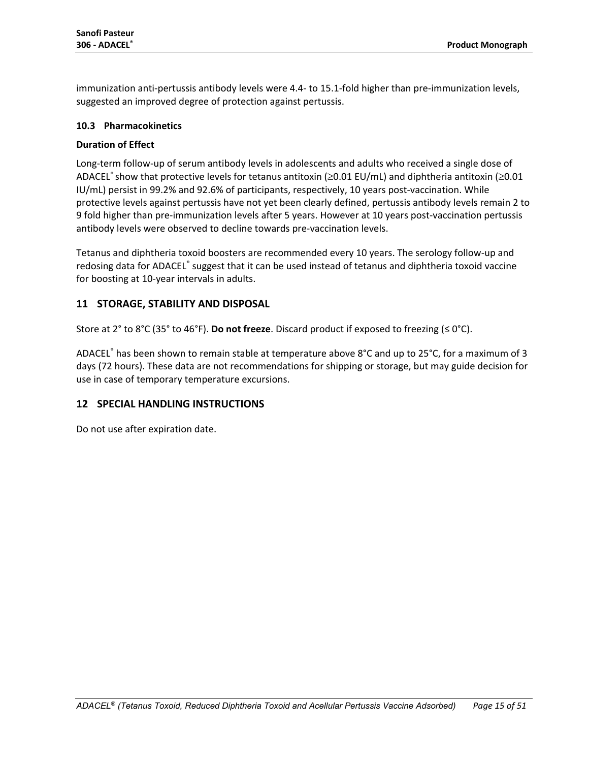immunization anti-pertussis antibody levels were 4.4- to 15.1-fold higher than pre-immunization levels, suggested an improved degree of protection against pertussis.

#### <span id="page-14-0"></span>**10.3 Pharmacokinetics**

#### **Duration of Effect**

Long-term follow-up of serum antibody levels in adolescents and adults who received a single dose of ADACEL® show that protective levels for tetanus antitoxin ( $\geq$ 0.01 EU/mL) and diphtheria antitoxin ( $\geq$ 0.01 IU/mL) persist in 99.2% and 92.6% of participants, respectively, 10 years post-vaccination. While protective levels against pertussis have not yet been clearly defined, pertussis antibody levels remain 2 to 9 fold higher than pre-immunization levels after 5 years. However at 10 years post-vaccination pertussis antibody levels were observed to decline towards pre-vaccination levels.

Tetanus and diphtheria toxoid boosters are recommended every 10 years. The serology follow-up and redosing data for ADACEL® suggest that it can be used instead of tetanus and diphtheria toxoid vaccine for boosting at 10-year intervals in adults.

## <span id="page-14-1"></span>**11 STORAGE, STABILITY AND DISPOSAL**

Store at 2° to 8°C (35° to 46°F). **Do not freeze**. Discard product if exposed to freezing (≤ 0°C).

ADACEL® has been shown to remain stable at temperature above 8°C and up to 25°C, for a maximum of 3 days (72 hours). These data are not recommendations for shipping or storage, but may guide decision for use in case of temporary temperature excursions.

## <span id="page-14-2"></span>**12 SPECIAL HANDLING INSTRUCTIONS**

Do not use after expiration date.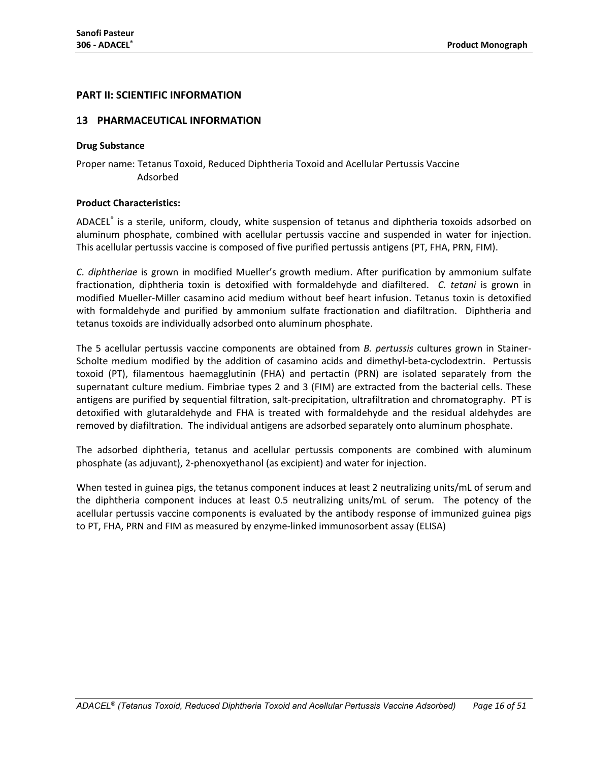#### <span id="page-15-0"></span>**PART II: SCIENTIFIC INFORMATION**

#### <span id="page-15-1"></span>**13 PHARMACEUTICAL INFORMATION**

#### **Drug Substance**

Proper name: Tetanus Toxoid, Reduced Diphtheria Toxoid and Acellular Pertussis Vaccine Adsorbed

#### **Product Characteristics:**

ADACEL® is a sterile, uniform, cloudy, white suspension of tetanus and diphtheria toxoids adsorbed on aluminum phosphate, combined with acellular pertussis vaccine and suspended in water for injection. This acellular pertussis vaccine is composed of five purified pertussis antigens (PT, FHA, PRN, FIM).

*C. diphtheriae* is grown in modified Mueller's growth medium. After purification by ammonium sulfate fractionation, diphtheria toxin is detoxified with formaldehyde and diafiltered. *C. tetani* is grown in modified Mueller-Miller casamino acid medium without beef heart infusion. Tetanus toxin is detoxified with formaldehyde and purified by ammonium sulfate fractionation and diafiltration. Diphtheria and tetanus toxoids are individually adsorbed onto aluminum phosphate.

The 5 acellular pertussis vaccine components are obtained from *B. pertussis* cultures grown in Stainer-Scholte medium modified by the addition of casamino acids and dimethyl-beta-cyclodextrin. Pertussis toxoid (PT), filamentous haemagglutinin (FHA) and pertactin (PRN) are isolated separately from the supernatant culture medium. Fimbriae types 2 and 3 (FIM) are extracted from the bacterial cells. These antigens are purified by sequential filtration, salt-precipitation, ultrafiltration and chromatography. PT is detoxified with glutaraldehyde and FHA is treated with formaldehyde and the residual aldehydes are removed by diafiltration. The individual antigens are adsorbed separately onto aluminum phosphate.

The adsorbed diphtheria, tetanus and acellular pertussis components are combined with aluminum phosphate (as adjuvant), 2-phenoxyethanol (as excipient) and water for injection.

When tested in guinea pigs, the tetanus component induces at least 2 neutralizing units/mL of serum and the diphtheria component induces at least 0.5 neutralizing units/mL of serum. The potency of the acellular pertussis vaccine components is evaluated by the antibody response of immunized guinea pigs to PT, FHA, PRN and FIM as measured by enzyme-linked immunosorbent assay (ELISA)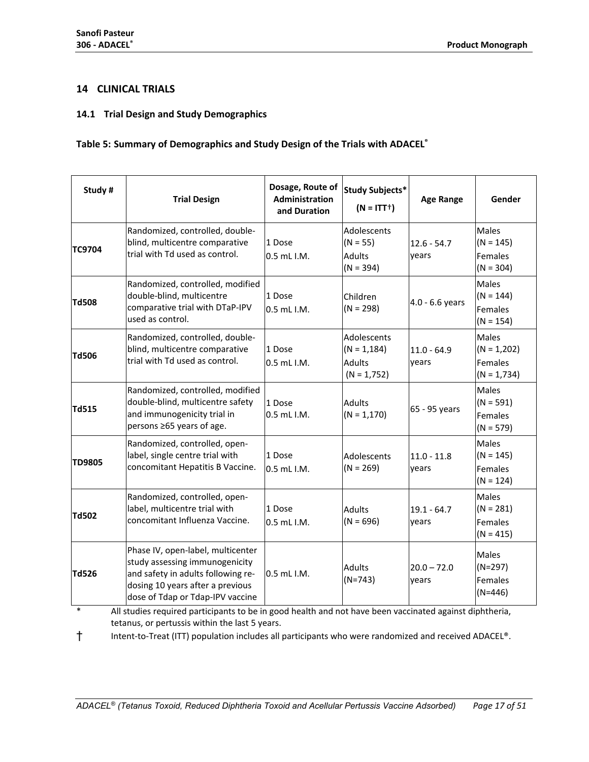## <span id="page-16-0"></span>**14 CLINICAL TRIALS**

#### <span id="page-16-1"></span>**14.1 Trial Design and Study Demographics**

## **Table 5: Summary of Demographics and Study Design of the Trials with ADACEL®**

| Study#        | <b>Trial Design</b>                                                                                                                                                               | Dosage, Route of<br>Administration<br>and Duration | <b>Study Subjects*</b><br>$(N = ITT^+)$                         | <b>Age Range</b>       | Gender                                                    |
|---------------|-----------------------------------------------------------------------------------------------------------------------------------------------------------------------------------|----------------------------------------------------|-----------------------------------------------------------------|------------------------|-----------------------------------------------------------|
| <b>TC9704</b> | Randomized, controlled, double-<br>blind, multicentre comparative<br>trial with Td used as control.                                                                               | 1 Dose<br>$0.5$ mL I.M.                            | Adolescents<br>$(N = 55)$<br><b>Adults</b><br>$(N = 394)$       | $12.6 - 54.7$<br>years | Males<br>$(N = 145)$<br>Females<br>$(N = 304)$            |
| <b>Td508</b>  | Randomized, controlled, modified<br>double-blind, multicentre<br>comparative trial with DTaP-IPV<br>used as control.                                                              | 1 Dose<br>$0.5$ mL $1.M$ .                         | Children<br>$(N = 298)$                                         | $4.0 - 6.6$ years      | Males<br>$(N = 144)$<br>Females<br>$(N = 154)$            |
| Td506         | Randomized, controlled, double-<br>blind, multicentre comparative<br>trial with Td used as control.                                                                               | 1 Dose<br>$0.5$ mL $1.M$ .                         | Adolescents<br>$(N = 1, 184)$<br><b>Adults</b><br>$(N = 1,752)$ | $11.0 - 64.9$<br>years | <b>Males</b><br>$(N = 1,202)$<br>Females<br>$(N = 1,734)$ |
| Td515         | Randomized, controlled, modified<br>double-blind, multicentre safety<br>and immunogenicity trial in<br>persons ≥65 years of age.                                                  | 1 Dose<br>0.5 mL I.M.                              | <b>Adults</b><br>$(N = 1, 170)$                                 | 65 - 95 years          | <b>Males</b><br>$(N = 591)$<br>Females<br>$(N = 579)$     |
| <b>TD9805</b> | Randomized, controlled, open-<br>label, single centre trial with<br>concomitant Hepatitis B Vaccine.                                                                              | 1 Dose<br>$0.5$ mL $1.M$ .                         | Adolescents<br>$(N = 269)$                                      | $11.0 - 11.8$<br>years | <b>Males</b><br>$(N = 145)$<br>Females<br>$(N = 124)$     |
| <b>Td502</b>  | Randomized, controlled, open-<br>label, multicentre trial with<br>concomitant Influenza Vaccine.                                                                                  | 1 Dose<br>0.5 mL I.M.                              | <b>Adults</b><br>$(N = 696)$                                    | $19.1 - 64.7$<br>years | <b>Males</b><br>$(N = 281)$<br>Females<br>$(N = 415)$     |
| <b>Td526</b>  | Phase IV, open-label, multicenter<br>study assessing immunogenicity<br>and safety in adults following re-<br>dosing 10 years after a previous<br>dose of Tdap or Tdap-IPV vaccine | 0.5 mL I.M.                                        | <b>Adults</b><br>$(N=743)$                                      | $20.0 - 72.0$<br>years | Males<br>$(N=297)$<br>Females<br>$(N=446)$                |

All studies required participants to be in good health and not have been vaccinated against diphtheria, tetanus, or pertussis within the last 5 years.

† Intent-to-Treat (ITT) population includes all participants who were randomized and received ADACEL®.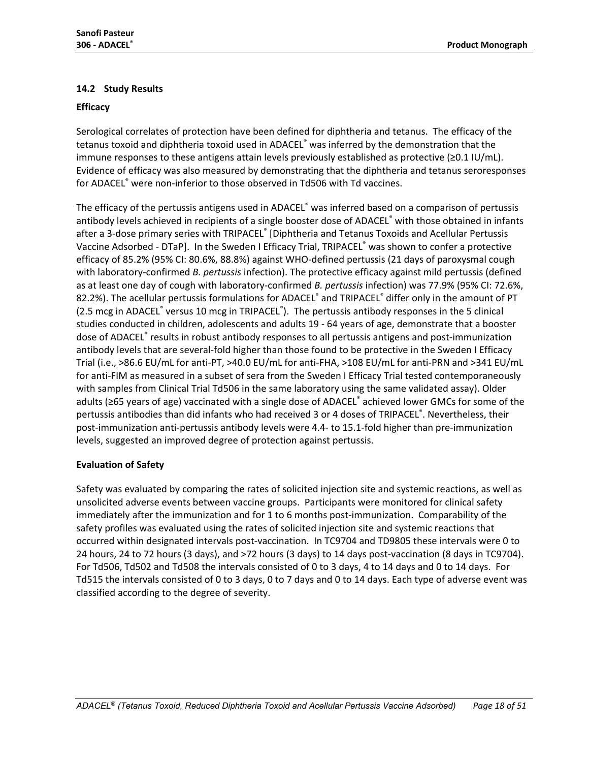## <span id="page-17-0"></span>**14.2 Study Results**

#### **Efficacy**

Serological correlates of protection have been defined for diphtheria and tetanus. The efficacy of the tetanus toxoid and diphtheria toxoid used in ADACEL® was inferred by the demonstration that the immune responses to these antigens attain levels previously established as protective (≥0.1 IU/mL). Evidence of efficacy was also measured by demonstrating that the diphtheria and tetanus seroresponses for ADACEL® were non-inferior to those observed in Td506 with Td vaccines.

The efficacy of the pertussis antigens used in ADACEL<sup>®</sup> was inferred based on a comparison of pertussis antibody levels achieved in recipients of a single booster dose of ADACEL® with those obtained in infants after a 3-dose primary series with TRIPACEL® [Diphtheria and Tetanus Toxoids and Acellular Pertussis Vaccine Adsorbed - DTaP]. In the Sweden I Efficacy Trial, TRIPACEL® was shown to confer a protective efficacy of 85.2% (95% CI: 80.6%, 88.8%) against WHO-defined pertussis (21 days of paroxysmal cough with laboratory-confirmed *B. pertussis* infection). The protective efficacy against mild pertussis (defined as at least one day of cough with laboratory-confirmed *B. pertussis* infection) was 77.9% (95% CI: 72.6%, 82.2%). The acellular pertussis formulations for ADACEL<sup>®</sup> and TRIPACEL<sup>®</sup> differ only in the amount of PT (2.5 mcg in ADACEL<sup>®</sup> versus 10 mcg in TRIPACEL<sup>®</sup>). The pertussis antibody responses in the 5 clinical studies conducted in children, adolescents and adults 19 - 64 years of age, demonstrate that a booster dose of ADACEL® results in robust antibody responses to all pertussis antigens and post-immunization antibody levels that are several-fold higher than those found to be protective in the Sweden I Efficacy Trial (i.e., >86.6 EU/mL for anti-PT, >40.0 EU/mL for anti-FHA, >108 EU/mL for anti-PRN and >341 EU/mL for anti-FIM as measured in a subset of sera from the Sweden I Efficacy Trial tested contemporaneously with samples from Clinical Trial Td506 in the same laboratory using the same validated assay). Older adults (≥65 years of age) vaccinated with a single dose of ADACEL® achieved lower GMCs for some of the pertussis antibodies than did infants who had received 3 or 4 doses of TRIPACEL®. Nevertheless, their post-immunization anti-pertussis antibody levels were 4.4- to 15.1-fold higher than pre-immunization levels, suggested an improved degree of protection against pertussis.

#### **Evaluation of Safety**

Safety was evaluated by comparing the rates of solicited injection site and systemic reactions, as well as unsolicited adverse events between vaccine groups. Participants were monitored for clinical safety immediately after the immunization and for 1 to 6 months post-immunization. Comparability of the safety profiles was evaluated using the rates of solicited injection site and systemic reactions that occurred within designated intervals post-vaccination. In TC9704 and TD9805 these intervals were 0 to 24 hours, 24 to 72 hours (3 days), and >72 hours (3 days) to 14 days post-vaccination (8 days in TC9704). For Td506, Td502 and Td508 the intervals consisted of 0 to 3 days, 4 to 14 days and 0 to 14 days. For Td515 the intervals consisted of 0 to 3 days, 0 to 7 days and 0 to 14 days. Each type of adverse event was classified according to the degree of severity.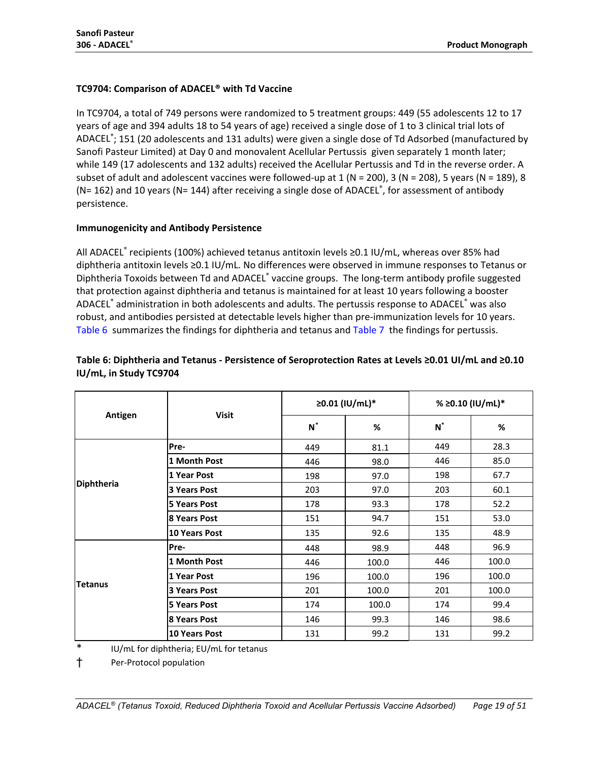## **TC9704: Comparison of ADACEL® with Td Vaccine**

In TC9704, a total of 749 persons were randomized to 5 treatment groups: 449 (55 adolescents 12 to 17 years of age and 394 adults 18 to 54 years of age) received a single dose of 1 to 3 clinical trial lots of ADACEL<sup>®</sup>; 151 (20 adolescents and 131 adults) were given a single dose of Td Adsorbed (manufactured by Sanofi Pasteur Limited) at Day 0 and monovalent Acellular Pertussis given separately 1 month later; while 149 (17 adolescents and 132 adults) received the Acellular Pertussis and Td in the reverse order. A subset of adult and adolescent vaccines were followed-up at  $1$  (N = 200),  $3$  (N = 208), 5 years (N = 189), 8 ( $N=162$ ) and 10 years ( $N=144$ ) after receiving a single dose of ADACEL®, for assessment of antibody persistence.

#### **Immunogenicity and Antibody Persistence**

All ADACEL® recipients (100%) achieved tetanus antitoxin levels ≥0.1 IU/mL, whereas over 85% had diphtheria antitoxin levels ≥0.1 IU/mL. No differences were observed in immune responses to Tetanus or Diphtheria Toxoids between Td and ADACEL® vaccine groups. The long-term antibody profile suggested that protection against diphtheria and tetanus is maintained for at least 10 years following a booster ADACEL® administration in both adolescents and adults. The pertussis response to ADACEL® was also robust, and antibodies persisted at detectable levels higher than pre-immunization levels for 10 years. [Table 6](#page-18-0) summarizes the findings for diphtheria and tetanus and [Table 7](#page-19-0) the findings for pertussis.

<span id="page-18-1"></span>

|                |                      |       | ≥0.01 (IU/mL)* |       | % ≥0.10 (IU/mL)* |  |
|----------------|----------------------|-------|----------------|-------|------------------|--|
| Antigen        | <b>Visit</b>         | $N^*$ | %              | $N^*$ | %                |  |
|                | Pre-                 | 449   | 81.1           | 449   | 28.3             |  |
|                | 1 Month Post         | 446   | 98.0           | 446   | 85.0             |  |
|                | 1 Year Post          | 198   | 97.0           | 198   | 67.7             |  |
| Diphtheria     | 3 Years Post         | 203   | 97.0           | 203   | 60.1             |  |
|                | <b>5 Years Post</b>  | 178   | 93.3           | 178   | 52.2             |  |
|                | 8 Years Post         | 151   | 94.7           | 151   | 53.0             |  |
|                | 10 Years Post        | 135   | 92.6           | 135   | 48.9             |  |
|                | Pre-                 | 448   | 98.9           | 448   | 96.9             |  |
|                | 1 Month Post         | 446   | 100.0          | 446   | 100.0            |  |
|                | 1 Year Post          | 196   | 100.0          | 196   | 100.0            |  |
| <b>Tetanus</b> | 3 Years Post         | 201   | 100.0          | 201   | 100.0            |  |
|                | <b>5 Years Post</b>  | 174   | 100.0          | 174   | 99.4             |  |
|                | 8 Years Post         | 146   | 99.3           | 146   | 98.6             |  |
|                | <b>10 Years Post</b> | 131   | 99.2           | 131   | 99.2             |  |

## <span id="page-18-0"></span>**Table 6: Diphtheria and Tetanus - Persistence of Seroprotection Rates at Levels ≥0.01 UI/mL and ≥0.10 IU/mL, in Study TC9704**

IU/mL for diphtheria; EU/mL for tetanus

† Per-Protocol population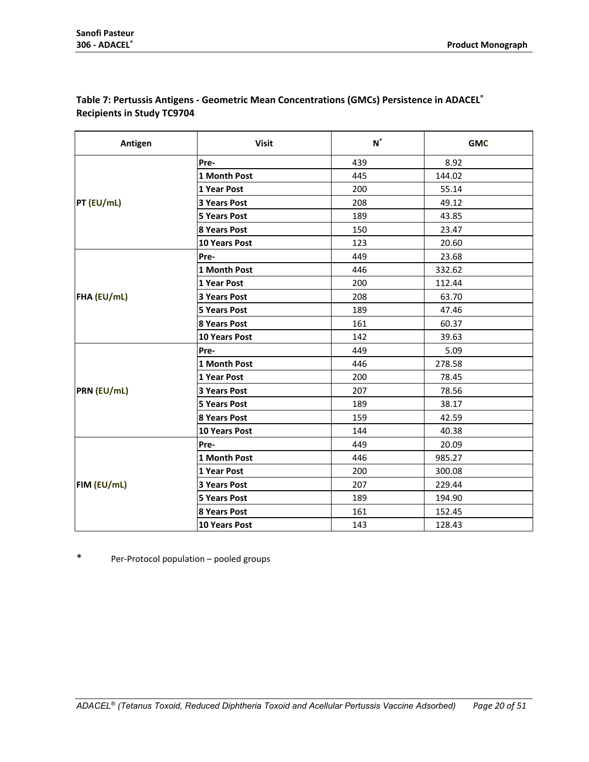| Antigen     | <b>Visit</b>         | $\boldsymbol{\mathsf{N}}^*$ | <b>GMC</b> |
|-------------|----------------------|-----------------------------|------------|
|             | Pre-                 | 439                         | 8.92       |
|             | 1 Month Post         | 445                         | 144.02     |
|             | 1 Year Post          | 200                         | 55.14      |
| PT (EU/mL)  | <b>3 Years Post</b>  | 208                         | 49.12      |
|             | <b>5 Years Post</b>  | 189                         | 43.85      |
|             | <b>8 Years Post</b>  | 150                         | 23.47      |
|             | 10 Years Post        | 123                         | 20.60      |
|             | Pre-                 | 449                         | 23.68      |
|             | 1 Month Post         | 446                         | 332.62     |
|             | 1 Year Post          | 200                         | 112.44     |
| FHA (EU/mL) | <b>3 Years Post</b>  | 208                         | 63.70      |
|             | <b>5 Years Post</b>  | 189                         | 47.46      |
|             | <b>8 Years Post</b>  | 161                         | 60.37      |
|             | <b>10 Years Post</b> | 142                         | 39.63      |
|             | Pre-                 | 449                         | 5.09       |
|             | 1 Month Post         | 446                         | 278.58     |
|             | 1 Year Post          | 200                         | 78.45      |
| PRN (EU/mL) | 3 Years Post         | 207                         | 78.56      |
|             | <b>5 Years Post</b>  | 189                         | 38.17      |
|             | <b>8 Years Post</b>  | 159                         | 42.59      |
|             | <b>10 Years Post</b> | 144                         | 40.38      |
|             | Pre-                 | 449                         | 20.09      |
|             | 1 Month Post         | 446                         | 985.27     |
|             | 1 Year Post          | 200                         | 300.08     |
| FIM (EU/mL) | 3 Years Post         | 207                         | 229.44     |
|             | <b>5 Years Post</b>  | 189                         | 194.90     |
|             | 8 Years Post         | 161                         | 152.45     |
|             | <b>10 Years Post</b> | 143                         | 128.43     |

## <span id="page-19-0"></span>**Table 7: Pertussis Antigens - Geometric Mean Concentrations (GMCs) Persistence in ADACEL® Recipients in Study TC9704**

\* Per-Protocol population – pooled groups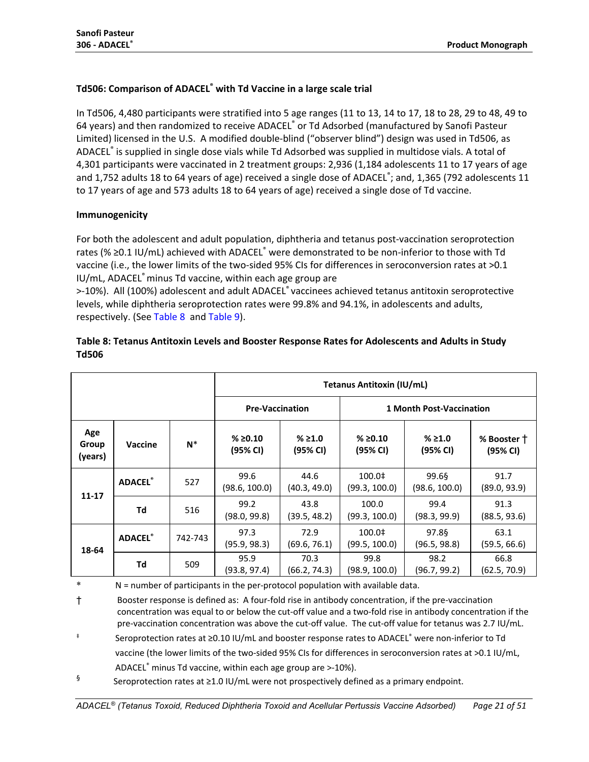## **Td506: Comparison of ADACEL® with Td Vaccine in a large scale trial**

In Td506, 4,480 participants were stratified into 5 age ranges (11 to 13, 14 to 17, 18 to 28, 29 to 48, 49 to 64 years) and then randomized to receive ADACEL® or Td Adsorbed (manufactured by Sanofi Pasteur Limited) licensed in the U.S. A modified double-blind ("observer blind") design was used in Td506, as ADACEL® is supplied in single dose vials while Td Adsorbed was supplied in multidose vials. A total of 4,301 participants were vaccinated in 2 treatment groups: 2,936 (1,184 adolescents 11 to 17 years of age and 1,752 adults 18 to 64 years of age) received a single dose of ADACEL<sup>®</sup>; and, 1,365 (792 adolescents 11 to 17 years of age and 573 adults 18 to 64 years of age) received a single dose of Td vaccine.

## **Immunogenicity**

For both the adolescent and adult population, diphtheria and tetanus post-vaccination seroprotection rates (% ≥0.1 IU/mL) achieved with ADACEL® were demonstrated to be non-inferior to those with Td vaccine (i.e., the lower limits of the two-sided 95% CIs for differences in seroconversion rates at >0.1 IU/mL, ADACEL® minus Td vaccine, within each age group are

>-10%). All (100%) adolescent and adult ADACEL® vaccinees achieved tetanus antitoxin seroprotective levels, while diphtheria seroprotection rates were 99.8% and 94.1%, in adolescents and adults, respectively. (See [Table 8](#page-20-0) and [Table 9\)](#page-21-0).

## <span id="page-20-0"></span>**Table 8: Tetanus Antitoxin Levels and Booster Response Rates for Adolescents and Adults in Study Td506**

|                         |                 | <b>Tetanus Antitoxin (IU/mL)</b> |                        |                      |                                 |                        |                         |
|-------------------------|-----------------|----------------------------------|------------------------|----------------------|---------------------------------|------------------------|-------------------------|
|                         |                 |                                  | <b>Pre-Vaccination</b> |                      | <b>1 Month Post-Vaccination</b> |                        |                         |
| Age<br>Group<br>(years) | <b>Vaccine</b>  | $N^*$                            | % ≥0.10<br>(95% CI)    | % ≥ 1.0<br>(95% CI)  | % ≥0.10<br>(95% CI)             | % > 1.0<br>(95% CI)    | % Booster †<br>(95% CI) |
| $11 - 17$               | <b>ADACEL®</b>  | 527                              | 99.6<br>(98.6, 100.0)  | 44.6<br>(40.3, 49.0) | 100.0‡<br>(99.3, 100.0)         | 99.6§<br>(98.6, 100.0) | 91.7<br>(89.0, 93.9)    |
|                         | Td              | 516                              | 99.2<br>(98.0, 99.8)   | 43.8<br>(39.5, 48.2) | 100.0<br>(99.3, 100.0)          | 99.4<br>(98.3, 99.9)   | 91.3<br>(88.5, 93.6)    |
| 18-64                   | <b>ADACEL</b> ® | 742-743                          | 97.3<br>(95.9, 98.3)   | 72.9<br>(69.6, 76.1) | 100.0‡<br>(99.5, 100.0)         | 97.86<br>(96.5, 98.8)  | 63.1<br>(59.5, 66.6)    |
|                         | Td              | 509                              | 95.9<br>(93.8, 97.4)   | 70.3<br>(66.2, 74.3) | 99.8<br>(98.9, 100.0)           | 98.2<br>(96.7, 99.2)   | 66.8<br>(62.5, 70.9)    |

 $N$  = number of participants in the per-protocol population with available data.

† Booster response is defined as: A four-fold rise in antibody concentration, if the pre-vaccination concentration was equal to or below the cut-off value and a two-fold rise in antibody concentration if the pre-vaccination concentration was above the cut-off value. The cut-off value for tetanus was 2.7 IU/mL.

‡ Seroprotection rates at ≥0.10 IU/mL and booster response rates to ADACEL® were non-inferior to Td vaccine (the lower limits of the two-sided 95% CIs for differences in seroconversion rates at >0.1 IU/mL, ADACEL® minus Td vaccine, within each age group are >-10%).

§ Seroprotection rates at  $\geq$ 1.0 IU/mL were not prospectively defined as a primary endpoint.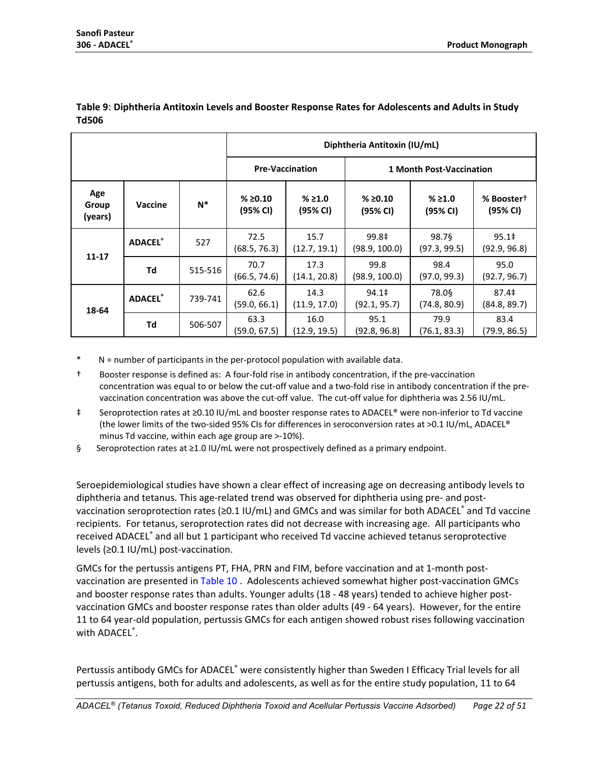|                         |                 |         | Diphtheria Antitoxin (IU/mL) |                      |                                   |                       |                                    |  |  |
|-------------------------|-----------------|---------|------------------------------|----------------------|-----------------------------------|-----------------------|------------------------------------|--|--|
|                         |                 |         | <b>Pre-Vaccination</b>       |                      | 1 Month Post-Vaccination          |                       |                                    |  |  |
| Age<br>Group<br>(years) | Vaccine         | $N^*$   | % ≥0.10<br>(95% CI)          | % ≥ 1.0<br>(95% CI)  | % ≥ 0.10<br>(95% CI)              | % ≥ 1.0<br>(95% CI)   | % Booster <sup>+</sup><br>(95% CI) |  |  |
| $11 - 17$               | <b>ADACEL</b> ® | 527     | 72.5<br>(68.5, 76.3)         | 15.7<br>(12.7, 19.1) | 99.8‡<br>(98.9, 100.0)            | 98.7§<br>(97.3, 99.5) | 95.1 <sup>‡</sup><br>(92.9, 96.8)  |  |  |
|                         | Td              | 515-516 | 70.7<br>(66.5, 74.6)         | 17.3<br>(14.1, 20.8) | 99.8<br>(98.9, 100.0)             | 98.4<br>(97.0, 99.3)  | 95.0<br>(92.7, 96.7)               |  |  |
| 18-64                   | <b>ADACEL</b> ® | 739-741 | 62.6<br>(59.0, 66.1)         | 14.3<br>(11.9, 17.0) | 94.1 <sup>‡</sup><br>(92.1, 95.7) | 78.0§<br>(74.8, 80.9) | 87.4 <sup>‡</sup><br>(84.8, 89.7)  |  |  |
|                         | Td              | 506-507 | 63.3<br>(59.0, 67.5)         | 16.0<br>(12.9, 19.5) | 95.1<br>(92.8, 96.8)              | 79.9<br>(76.1, 83.3)  | 83.4<br>(79.9, 86.5)               |  |  |

#### <span id="page-21-0"></span>**Table 9**: **Diphtheria Antitoxin Levels and Booster Response Rates for Adolescents and Adults in Study Td506**

 $N$  = number of participants in the per-protocol population with available data.

† Booster response is defined as: A four-fold rise in antibody concentration, if the pre-vaccination concentration was equal to or below the cut-off value and a two-fold rise in antibody concentration if the prevaccination concentration was above the cut-off value. The cut-off value for diphtheria was 2.56 IU/mL.

- ‡ Seroprotection rates at ≥0.10 IU/mL and booster response rates to ADACEL® were non-inferior to Td vaccine (the lower limits of the two-sided 95% CIs for differences in seroconversion rates at >0.1 IU/mL, ADACEL® minus Td vaccine, within each age group are >-10%).
- § Seroprotection rates at ≥1.0 IU/mL were not prospectively defined as a primary endpoint.

Seroepidemiological studies have shown a clear effect of increasing age on decreasing antibody levels to diphtheria and tetanus. This age-related trend was observed for diphtheria using pre- and postvaccination seroprotection rates ( $\geq 0.1$  IU/mL) and GMCs and was similar for both ADACEL® and Td vaccine recipients. For tetanus, seroprotection rates did not decrease with increasing age. All participants who received ADACEL® and all but 1 participant who received Td vaccine achieved tetanus seroprotective levels (≥0.1 IU/mL) post-vaccination.

GMCs for the pertussis antigens PT, FHA, PRN and FIM, before vaccination and at 1-month postvaccination are presented i[n Table 10](#page-22-0) . Adolescents achieved somewhat higher post-vaccination GMCs and booster response rates than adults. Younger adults (18 - 48 years) tended to achieve higher postvaccination GMCs and booster response rates than older adults (49 - 64 years). However, for the entire 11 to 64 year-old population, pertussis GMCs for each antigen showed robust rises following vaccination with ADACEL<sup>®</sup>.

Pertussis antibody GMCs for ADACEL<sup>®</sup> were consistently higher than Sweden I Efficacy Trial levels for all pertussis antigens, both for adults and adolescents, as well as for the entire study population, 11 to 64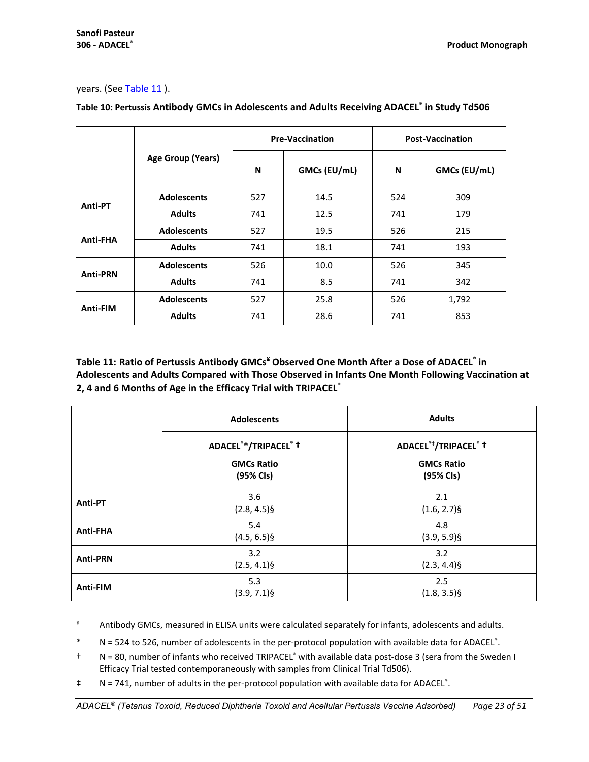#### years. (See [Table 11](#page-22-1) ).

|                 |                    |     | <b>Pre-Vaccination</b> | <b>Post-Vaccination</b> |              |  |
|-----------------|--------------------|-----|------------------------|-------------------------|--------------|--|
|                 | Age Group (Years)  |     | GMCs (EU/mL)           | N                       | GMCs (EU/mL) |  |
| Anti-PT         | <b>Adolescents</b> | 527 | 14.5                   | 524                     | 309          |  |
|                 | <b>Adults</b>      | 741 | 12.5                   | 741                     | 179          |  |
|                 | <b>Adolescents</b> | 527 | 19.5                   | 526                     | 215          |  |
| Anti-FHA        | <b>Adults</b>      | 741 | 18.1                   | 741                     | 193          |  |
|                 | <b>Adolescents</b> | 526 | 10.0                   | 526                     | 345          |  |
| <b>Anti-PRN</b> | <b>Adults</b>      | 741 | 8.5                    | 741                     | 342          |  |
| Anti-FIM        | <b>Adolescents</b> | 527 | 25.8                   | 526                     | 1,792        |  |
|                 | <b>Adults</b>      | 741 | 28.6                   | 741                     | 853          |  |

## <span id="page-22-0"></span>**Table 10: Pertussis Antibody GMCs in Adolescents and Adults Receiving ADACEL® in Study Td506**

<span id="page-22-1"></span>**Table 11: Ratio of Pertussis Antibody GMCs¥ Observed One Month After a Dose of ADACEL® in Adolescents and Adults Compared with Those Observed in Infants One Month Following Vaccination at 2, 4 and 6 Months of Age in the Efficacy Trial with TRIPACEL®**

|                 | <b>Adolescents</b>                            | <b>Adults</b>                                            |
|-----------------|-----------------------------------------------|----------------------------------------------------------|
|                 | ADACEL <sup>®</sup> */TRIPACEL <sup>®</sup> + | ADACEL <sup>®‡</sup> /TRIPACEL <sup>®</sup> <sup>†</sup> |
|                 | <b>GMCs Ratio</b><br>(95% CIs)                | <b>GMCs Ratio</b><br>(95% CIs)                           |
| Anti-PT         | 3.6<br>$(2.8, 4.5)$ §                         | 2.1<br>$(1.6, 2.7)\$                                     |
| Anti-FHA        | 5.4<br>$(4.5, 6.5)$ §                         | 4.8<br>$(3.9, 5.9)$ §                                    |
| <b>Anti-PRN</b> | 3.2<br>$(2.5, 4.1)$ §                         | 3.2<br>$(2.3, 4.4)$ §                                    |
| Anti-FIM        | 5.3<br>$(3.9, 7.1)$ §                         | 2.5<br>$(1.8, 3.5)\$                                     |

¥ Antibody GMCs, measured in ELISA units were calculated separately for infants, adolescents and adults.

\* N = 524 to 526, number of adolescents in the per-protocol population with available data for ADACEL®.

- † N = 80, number of infants who received TRIPACEL® with available data post-dose 3 (sera from the Sweden I Efficacy Trial tested contemporaneously with samples from Clinical Trial Td506).
- ‡ N = 741, number of adults in the per-protocol population with available data for ADACEL® .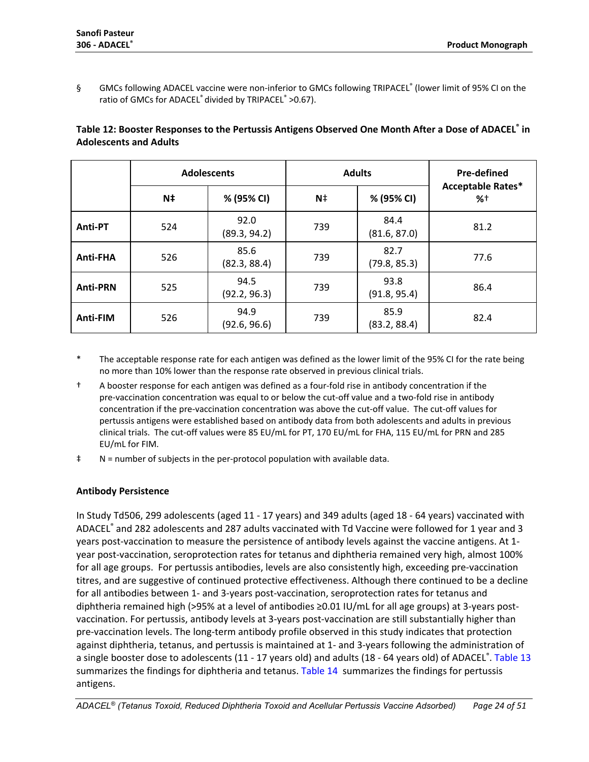§ GMCs following ADACEL vaccine were non-inferior to GMCs following TRIPACEL® (lower limit of 95% CI on the ratio of GMCs for ADACEL<sup>®</sup> divided by TRIPACEL<sup>®</sup> >0.67).

|                 | <b>Adolescents</b> |                      |      | <b>Adults</b>        | Pre-defined<br><b>Acceptable Rates*</b> |  |
|-----------------|--------------------|----------------------|------|----------------------|-----------------------------------------|--|
|                 | N‡                 | % (95% CI)           | $N+$ | % (95% CI)           | %†                                      |  |
| Anti-PT         | 524                | 92.0<br>(89.3, 94.2) | 739  | 84.4<br>(81.6, 87.0) | 81.2                                    |  |
| Anti-FHA        | 526                | 85.6<br>(82.3, 88.4) | 739  | 82.7<br>(79.8, 85.3) | 77.6                                    |  |
| <b>Anti-PRN</b> | 525                | 94.5<br>(92.2, 96.3) | 739  | 93.8<br>(91.8, 95.4) | 86.4                                    |  |
| <b>Anti-FIM</b> | 526                | 94.9<br>(92.6, 96.6) | 739  | 85.9<br>(83.2, 88.4) | 82.4                                    |  |

## **Table 12: Booster Responses to the Pertussis Antigens Observed One Month After a Dose of ADACEL® in Adolescents and Adults**

- \* The acceptable response rate for each antigen was defined as the lower limit of the 95% CI for the rate being no more than 10% lower than the response rate observed in previous clinical trials.
- † A booster response for each antigen was defined as a four-fold rise in antibody concentration if the pre-vaccination concentration was equal to or below the cut-off value and a two-fold rise in antibody concentration if the pre-vaccination concentration was above the cut-off value. The cut-off values for pertussis antigens were established based on antibody data from both adolescents and adults in previous clinical trials. The cut-off values were 85 EU/mL for PT, 170 EU/mL for FHA, 115 EU/mL for PRN and 285 EU/mL for FIM.
- ‡ N = number of subjects in the per-protocol population with available data.

## **Antibody Persistence**

In Study Td506, 299 adolescents (aged 11 - 17 years) and 349 adults (aged 18 - 64 years) vaccinated with ADACEL® and 282 adolescents and 287 adults vaccinated with Td Vaccine were followed for 1 year and 3 years post-vaccination to measure the persistence of antibody levels against the vaccine antigens. At 1 year post-vaccination, seroprotection rates for tetanus and diphtheria remained very high, almost 100% for all age groups. For pertussis antibodies, levels are also consistently high, exceeding pre-vaccination titres, and are suggestive of continued protective effectiveness. Although there continued to be a decline for all antibodies between 1- and 3-years post-vaccination, seroprotection rates for tetanus and diphtheria remained high (>95% at a level of antibodies ≥0.01 IU/mL for all age groups) at 3-years postvaccination. For pertussis, antibody levels at 3-years post-vaccination are still substantially higher than pre-vaccination levels. The long-term antibody profile observed in this study indicates that protection against diphtheria, tetanus, and pertussis is maintained at 1- and 3-years following the administration of a single booster dose to adolescents (11 - 17 years old) and adults (18 - 64 years old) of ADACEL<sup>®</sup>. [Table 13](#page-24-0) summarizes the findings for diphtheria and tetanus. [Table 14](#page-25-0) summarizes the findings for pertussis antigens.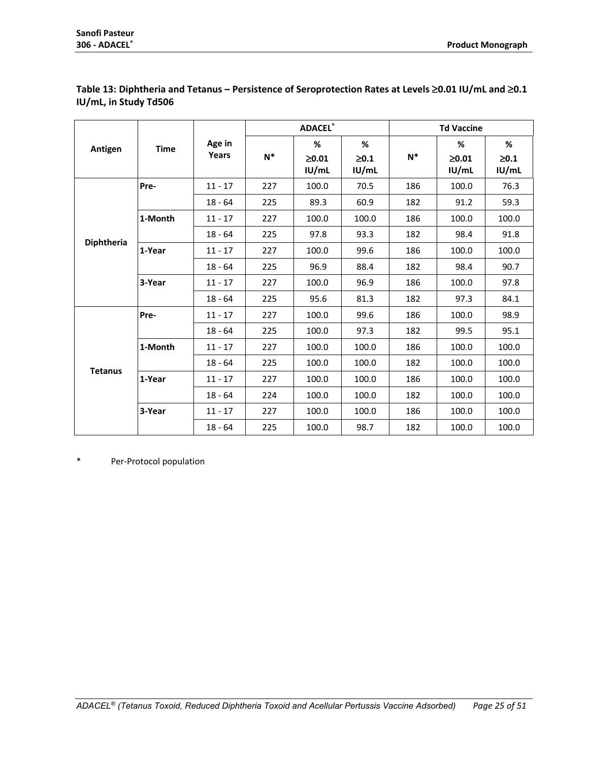|                |             |           | <b>ADACEL®</b> |                      |                     | <b>Td Vaccine</b> |                      |                     |
|----------------|-------------|-----------|----------------|----------------------|---------------------|-------------------|----------------------|---------------------|
| Antigen        | <b>Time</b> | Age in    |                | %                    | %                   |                   | %                    | %                   |
|                |             | Years     | $N^*$          | $\geq 0.01$<br>IU/mL | $\geq 0.1$<br>IU/mL | $N^*$             | $\geq 0.01$<br>IU/mL | $\geq 0.1$<br>IU/mL |
|                | Pre-        | $11 - 17$ | 227            | 100.0                | 70.5                | 186               | 100.0                | 76.3                |
|                |             | $18 - 64$ | 225            | 89.3                 | 60.9                | 182               | 91.2                 | 59.3                |
|                | 1-Month     | $11 - 17$ | 227            | 100.0                | 100.0               | 186               | 100.0                | 100.0               |
|                |             | $18 - 64$ | 225            | 97.8                 | 93.3                | 182               | 98.4                 | 91.8                |
| Diphtheria     | 1-Year      | $11 - 17$ | 227            | 100.0                | 99.6                | 186               | 100.0                | 100.0               |
|                |             | $18 - 64$ | 225            | 96.9                 | 88.4                | 182               | 98.4                 | 90.7                |
|                | 3-Year      | $11 - 17$ | 227            | 100.0                | 96.9                | 186               | 100.0                | 97.8                |
|                |             | $18 - 64$ | 225            | 95.6                 | 81.3                | 182               | 97.3                 | 84.1                |
|                | Pre-        | $11 - 17$ | 227            | 100.0                | 99.6                | 186               | 100.0                | 98.9                |
|                |             | $18 - 64$ | 225            | 100.0                | 97.3                | 182               | 99.5                 | 95.1                |
|                | 1-Month     | $11 - 17$ | 227            | 100.0                | 100.0               | 186               | 100.0                | 100.0               |
| <b>Tetanus</b> |             | $18 - 64$ | 225            | 100.0                | 100.0               | 182               | 100.0                | 100.0               |
|                | 1-Year      | $11 - 17$ | 227            | 100.0                | 100.0               | 186               | 100.0                | 100.0               |
|                |             | $18 - 64$ | 224            | 100.0                | 100.0               | 182               | 100.0                | 100.0               |
|                | 3-Year      | $11 - 17$ | 227            | 100.0                | 100.0               | 186               | 100.0                | 100.0               |
|                |             | $18 - 64$ | 225            | 100.0                | 98.7                | 182               | 100.0                | 100.0               |

## <span id="page-24-0"></span>**Table 13: Diphtheria and Tetanus – Persistence of Seroprotection Rates at Levels** ≥**0.01 IU/mL and** ≥**0.1 IU/mL, in Study Td506**

\* Per-Protocol population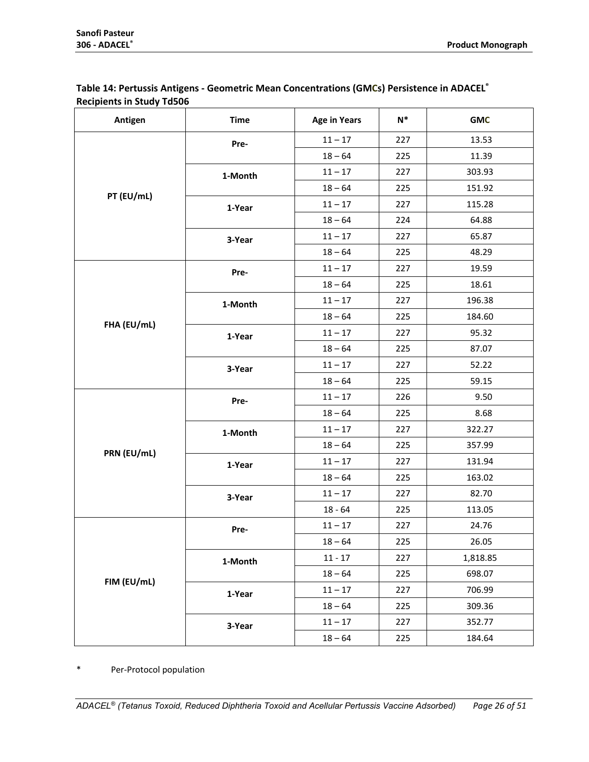<span id="page-25-0"></span>

| Table 14: Pertussis Antigens - Geometric Mean Concentrations (GMCs) Persistence in ADACEL® |
|--------------------------------------------------------------------------------------------|
| <b>Recipients in Study Td506</b>                                                           |

| Antigen     | <b>Time</b> | <b>Age in Years</b> | $N^*$ | <b>GMC</b> |
|-------------|-------------|---------------------|-------|------------|
|             | Pre-        | $11 - 17$           | 227   | 13.53      |
|             |             | $18 - 64$           | 225   | 11.39      |
|             | 1-Month     | $11 - 17$           | 227   | 303.93     |
|             |             | $18 - 64$           | 225   | 151.92     |
| PT (EU/mL)  | 1-Year      | $11 - 17$           | 227   | 115.28     |
|             |             | $18 - 64$           | 224   | 64.88      |
|             | 3-Year      | $11 - 17$           | 227   | 65.87      |
|             |             | $18 - 64$           | 225   | 48.29      |
|             | Pre-        | $11 - 17$           | 227   | 19.59      |
|             |             | $18 - 64$           | 225   | 18.61      |
|             | 1-Month     | $11 - 17$           | 227   | 196.38     |
| FHA (EU/mL) |             | $18 - 64$           | 225   | 184.60     |
|             | 1-Year      | $11 - 17$           | 227   | 95.32      |
|             |             | $18 - 64$           | 225   | 87.07      |
|             | 3-Year      | $11 - 17$           | 227   | 52.22      |
|             |             | $18 - 64$           | 225   | 59.15      |
|             | Pre-        | $11 - 17$           | 226   | 9.50       |
|             |             | $18 - 64$           | 225   | 8.68       |
|             | 1-Month     | $11 - 17$           | 227   | 322.27     |
| PRN (EU/mL) |             | $18 - 64$           | 225   | 357.99     |
|             | 1-Year      | $11 - 17$           | 227   | 131.94     |
|             |             | $18 - 64$           | 225   | 163.02     |
|             | 3-Year      | $11 - 17$           | 227   | 82.70      |
|             |             | $18 - 64$           | 225   | 113.05     |
|             | Pre-        | $11 - 17$           | 227   | 24.76      |
|             |             | $18 - 64$           | 225   | 26.05      |
|             | 1-Month     | $11 - 17$           | 227   | 1,818.85   |
| FIM (EU/mL) |             | $18 - 64$           | 225   | 698.07     |
|             | 1-Year      | $11 - 17$           | 227   | 706.99     |
|             |             | $18 - 64$           | 225   | 309.36     |
|             | 3-Year      | $11 - 17$           | 227   | 352.77     |
|             |             | $18 - 64$           | 225   | 184.64     |

\* Per-Protocol population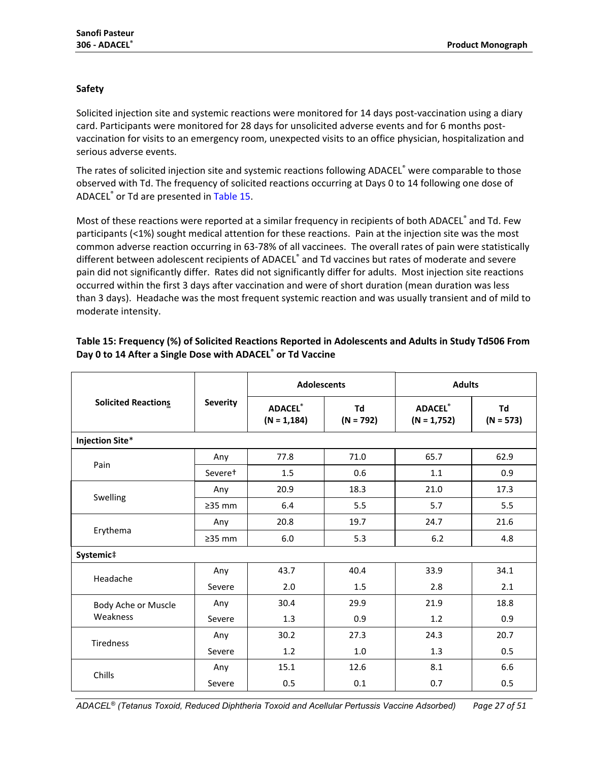## **Safety**

Solicited injection site and systemic reactions were monitored for 14 days post-vaccination using a diary card. Participants were monitored for 28 days for unsolicited adverse events and for 6 months postvaccination for visits to an emergency room, unexpected visits to an office physician, hospitalization and serious adverse events.

The rates of solicited injection site and systemic reactions following ADACEL® were comparable to those observed with Td. The frequency of solicited reactions occurring at Days 0 to 14 following one dose of ADACEL® or Td are presented in [Table 15.](#page-26-0)

Most of these reactions were reported at a similar frequency in recipients of both ADACEL® and Td. Few participants (<1%) sought medical attention for these reactions. Pain at the injection site was the most common adverse reaction occurring in 63-78% of all vaccinees. The overall rates of pain were statistically different between adolescent recipients of ADACEL® and Td vaccines but rates of moderate and severe pain did not significantly differ. Rates did not significantly differ for adults. Most injection site reactions occurred within the first 3 days after vaccination and were of short duration (mean duration was less than 3 days). Headache was the most frequent systemic reaction and was usually transient and of mild to moderate intensity.

|                            |                 | <b>Adolescents</b>               |                   | <b>Adults</b>                   |                   |  |
|----------------------------|-----------------|----------------------------------|-------------------|---------------------------------|-------------------|--|
| <b>Solicited Reactions</b> | <b>Severity</b> | <b>ADACEL®</b><br>$(N = 1, 184)$ | Td<br>$(N = 792)$ | <b>ADACEL®</b><br>$(N = 1,752)$ | Td<br>$(N = 573)$ |  |
| <b>Injection Site*</b>     |                 |                                  |                   |                                 |                   |  |
| Pain                       | Any             | 77.8                             | 71.0              | 65.7                            | 62.9              |  |
|                            | Severet         | 1.5                              | 0.6               | 1.1                             | 0.9               |  |
|                            | Any             | 20.9                             | 18.3              | 21.0                            | 17.3              |  |
| Swelling                   | $\geq$ 35 mm    | 6.4                              | 5.5               | 5.7                             | 5.5               |  |
|                            | Any             | 20.8                             | 19.7              | 24.7                            | 21.6              |  |
| Erythema                   | $\geq$ 35 mm    | 6.0                              | 5.3               | 6.2                             | 4.8               |  |
| Systemic#                  |                 |                                  |                   |                                 |                   |  |
| Headache                   | Any             | 43.7                             | 40.4              | 33.9                            | 34.1              |  |
|                            | Severe          | 2.0                              | 1.5               | 2.8                             | 2.1               |  |
| Body Ache or Muscle        | Any             | 30.4                             | 29.9              | 21.9                            | 18.8              |  |
| Weakness                   | Severe          | 1.3                              | 0.9               | 1.2                             | 0.9               |  |
| <b>Tiredness</b>           | Any             | 30.2                             | 27.3              | 24.3                            | 20.7              |  |
|                            | Severe          | 1.2                              | 1.0               | 1.3                             | 0.5               |  |
| Chills                     | Any             | 15.1                             | 12.6              | 8.1                             | 6.6               |  |
|                            | Severe          | 0.5                              | 0.1               | 0.7                             | 0.5               |  |

## <span id="page-26-0"></span>**Table 15: Frequency (%) of Solicited Reactions Reported in Adolescents and Adults in Study Td506 From Day 0 to 14 After a Single Dose with ADACEL® or Td Vaccine**

*ADACEL® (Tetanus Toxoid, Reduced Diphtheria Toxoid and Acellular Pertussis Vaccine Adsorbed) Page 27 of 51*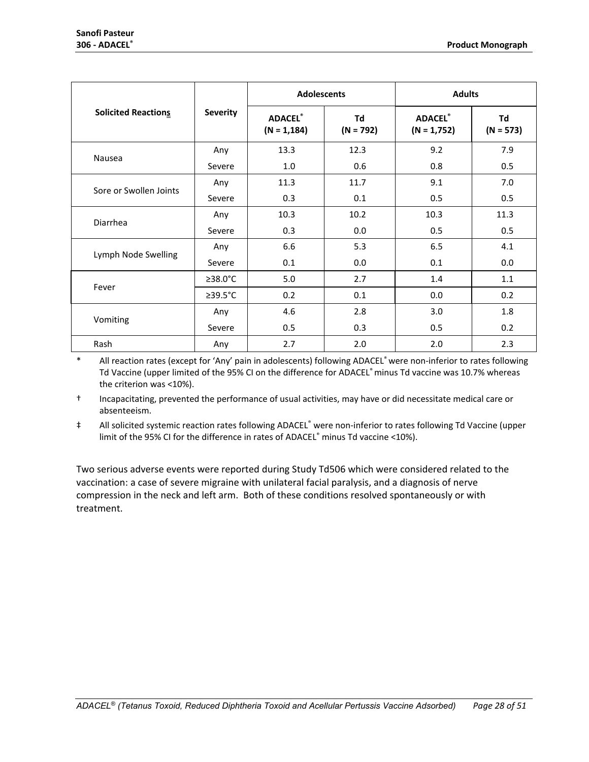|                            |                 | <b>Adolescents</b>               |                   | <b>Adults</b>                   |                   |  |
|----------------------------|-----------------|----------------------------------|-------------------|---------------------------------|-------------------|--|
| <b>Solicited Reactions</b> | <b>Severity</b> | <b>ADACEL®</b><br>$(N = 1, 184)$ | Td<br>$(N = 792)$ | <b>ADACEL®</b><br>$(N = 1,752)$ | Td<br>$(N = 573)$ |  |
| Nausea                     | Any             | 13.3                             | 12.3              | 9.2                             | 7.9               |  |
|                            | Severe          | 1.0                              | 0.6               | 0.8                             | 0.5               |  |
| Sore or Swollen Joints     | Any             | 11.3                             | 11.7              | 9.1                             | 7.0               |  |
|                            | Severe          | 0.3                              | 0.1               | 0.5                             | 0.5               |  |
| Diarrhea                   | Any             | 10.3                             | 10.2              | 10.3                            | 11.3              |  |
|                            | Severe          | 0.3                              | 0.0               | 0.5                             | 0.5               |  |
|                            | Any             | 6.6                              | 5.3               | 6.5                             | 4.1               |  |
| Lymph Node Swelling        | Severe          | 0.1                              | 0.0               | 0.1                             | 0.0               |  |
|                            | $\geq$ 38.0°C   | 5.0                              | 2.7               | 1.4                             | 1.1               |  |
| Fever                      | $\geq$ 39.5°C   | 0.2                              | 0.1               | 0.0                             | 0.2               |  |
|                            | Any             | 4.6                              | 2.8               | 3.0                             | 1.8               |  |
| Vomiting                   | Severe          | 0.5                              | 0.3               | 0.5                             | 0.2               |  |
| Rash                       | Any             | 2.7                              | 2.0               | 2.0                             | 2.3               |  |

\* All reaction rates (except for 'Any' pain in adolescents) following ADACEL® were non-inferior to rates following Td Vaccine (upper limited of the 95% CI on the difference for ADACEL® minus Td vaccine was 10.7% whereas the criterion was <10%).

† Incapacitating, prevented the performance of usual activities, may have or did necessitate medical care or absenteeism.

‡ All solicited systemic reaction rates following ADACEL® were non-inferior to rates following Td Vaccine (upper limit of the 95% CI for the difference in rates of ADACEL® minus Td vaccine <10%).

Two serious adverse events were reported during Study Td506 which were considered related to the vaccination: a case of severe migraine with unilateral facial paralysis, and a diagnosis of nerve compression in the neck and left arm. Both of these conditions resolved spontaneously or with treatment.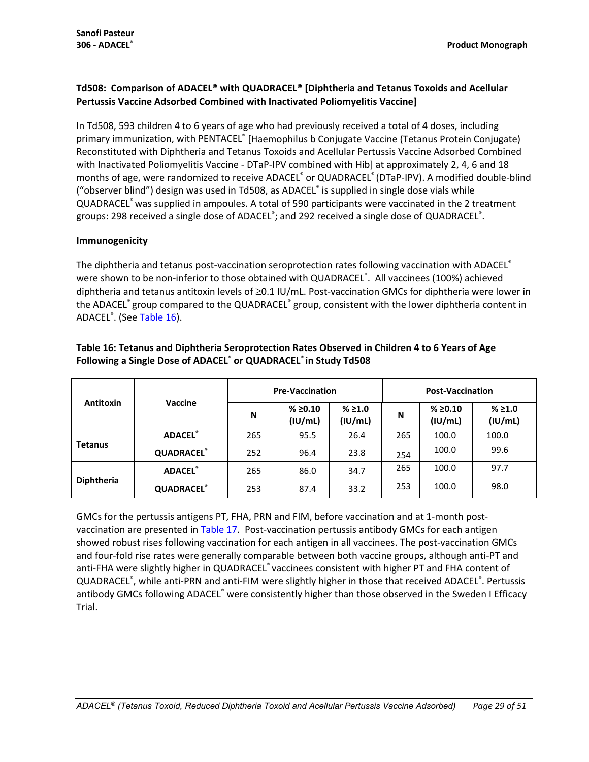## **Td508: Comparison of ADACEL® with QUADRACEL® [Diphtheria and Tetanus Toxoids and Acellular Pertussis Vaccine Adsorbed Combined with Inactivated Poliomyelitis Vaccine]**

In Td508, 593 children 4 to 6 years of age who had previously received a total of 4 doses, including primary immunization, with PENTACEL® [Haemophilus b Conjugate Vaccine (Tetanus Protein Conjugate) Reconstituted with Diphtheria and Tetanus Toxoids and Acellular Pertussis Vaccine Adsorbed Combined with Inactivated Poliomyelitis Vaccine - DTaP-IPV combined with Hib] at approximately 2, 4, 6 and 18 months of age, were randomized to receive ADACEL® or QUADRACEL® (DTaP-IPV). A modified double-blind ("observer blind") design was used in Td508, as ADACEL® is supplied in single dose vials while QUADRACEL® was supplied in ampoules. A total of 590 participants were vaccinated in the 2 treatment groups: 298 received a single dose of ADACEL<sup>®</sup>; and 292 received a single dose of QUADRACEL<sup>®</sup>.

## **Immunogenicity**

The diphtheria and tetanus post-vaccination seroprotection rates following vaccination with ADACEL<sup>®</sup> were shown to be non-inferior to those obtained with QUADRACEL®. All vaccinees (100%) achieved diphtheria and tetanus antitoxin levels of ≥0.1 IU/mL. Post-vaccination GMCs for diphtheria were lower in the ADACEL® group compared to the QUADRACEL® group, consistent with the lower diphtheria content in ADACEL<sup>®</sup>. (See [Table 16\)](#page-28-0).

|                   |                   | <b>Pre-Vaccination</b> |                    |                    | <b>Post-Vaccination</b> |                     |                    |
|-------------------|-------------------|------------------------|--------------------|--------------------|-------------------------|---------------------|--------------------|
| <b>Antitoxin</b>  | <b>Vaccine</b>    | N                      | % ≥0.10<br>(IU/mL) | % ≥ 1.0<br>(IU/mL) | N                       | % ≥ 0.10<br>(IU/mL) | % ≥ 1.0<br>(IU/mL) |
| <b>Tetanus</b>    | <b>ADACEL®</b>    | 265                    | 95.5               | 26.4               | 265                     | 100.0               | 100.0              |
|                   | <b>QUADRACEL®</b> | 252                    | 96.4               | 23.8               | 254                     | 100.0               | 99.6               |
| <b>Diphtheria</b> | <b>ADACEL®</b>    | 265                    | 86.0               | 34.7               | 265                     | 100.0               | 97.7               |
|                   | <b>QUADRACEL®</b> | 253                    | 87.4               | 33.2               | 253                     | 100.0               | 98.0               |

## <span id="page-28-0"></span>**Table 16: Tetanus and Diphtheria Seroprotection Rates Observed in Children 4 to 6 Years of Age Following a Single Dose of ADACEL® or QUADRACEL® in Study Td508**

GMCs for the pertussis antigens PT, FHA, PRN and FIM, before vaccination and at 1-month postvaccination are presented in [Table 17.](#page-29-0) Post-vaccination pertussis antibody GMCs for each antigen showed robust rises following vaccination for each antigen in all vaccinees. The post-vaccination GMCs and four-fold rise rates were generally comparable between both vaccine groups, although anti-PT and anti-FHA were slightly higher in QUADRACEL® vaccinees consistent with higher PT and FHA content of QUADRACEL®, while anti-PRN and anti-FIM were slightly higher in those that received ADACEL®. Pertussis antibody GMCs following ADACEL<sup>®</sup> were consistently higher than those observed in the Sweden I Efficacy Trial.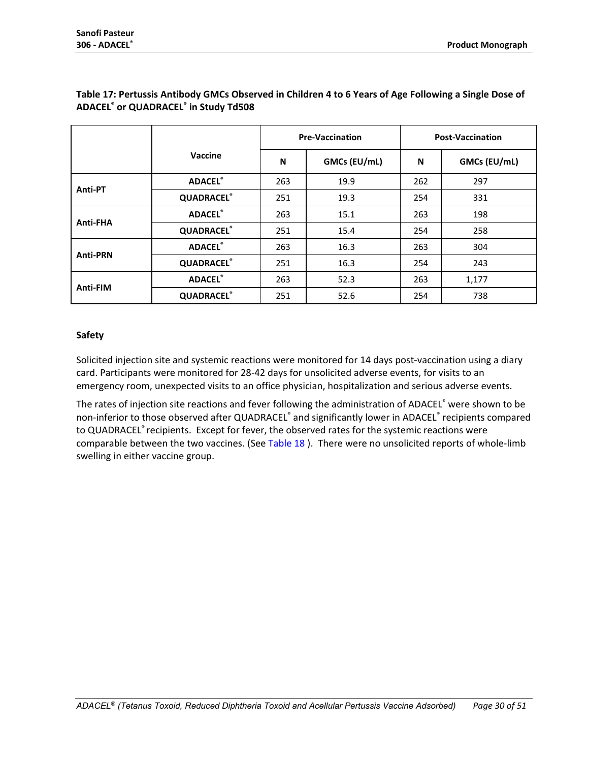|                 |                   | <b>Pre-Vaccination</b> |              | <b>Post-Vaccination</b> |              |  |
|-----------------|-------------------|------------------------|--------------|-------------------------|--------------|--|
|                 | Vaccine           | N                      | GMCs (EU/mL) | N                       | GMCs (EU/mL) |  |
|                 | <b>ADACEL®</b>    | 263                    | 19.9         | 262                     | 297          |  |
| Anti-PT         | <b>QUADRACEL®</b> | 251                    | 19.3         | 254                     | 331          |  |
|                 | <b>ADACEL®</b>    | 263                    | 15.1         | 263                     | 198          |  |
| Anti-FHA        | <b>QUADRACEL®</b> | 251                    | 15.4         | 254                     | 258          |  |
|                 | <b>ADACEL®</b>    | 263                    | 16.3         | 263                     | 304          |  |
| <b>Anti-PRN</b> | <b>QUADRACEL®</b> | 251                    | 16.3         | 254                     | 243          |  |
|                 | <b>ADACEL®</b>    | 263                    | 52.3         | 263                     | 1,177        |  |
| Anti-FIM        | <b>QUADRACEL®</b> | 251                    | 52.6         | 254                     | 738          |  |

## <span id="page-29-0"></span>**Table 17: Pertussis Antibody GMCs Observed in Children 4 to 6 Years of Age Following a Single Dose of ADACEL® or QUADRACEL® in Study Td508**

#### **Safety**

Solicited injection site and systemic reactions were monitored for 14 days post-vaccination using a diary card. Participants were monitored for 28-42 days for unsolicited adverse events, for visits to an emergency room, unexpected visits to an office physician, hospitalization and serious adverse events.

The rates of injection site reactions and fever following the administration of ADACEL® were shown to be non-inferior to those observed after QUADRACEL® and significantly lower in ADACEL® recipients compared to QUADRACEL® recipients. Except for fever, the observed rates for the systemic reactions were comparable between the two vaccines. (See [Table 18](#page-30-0) ). There were no unsolicited reports of whole-limb swelling in either vaccine group.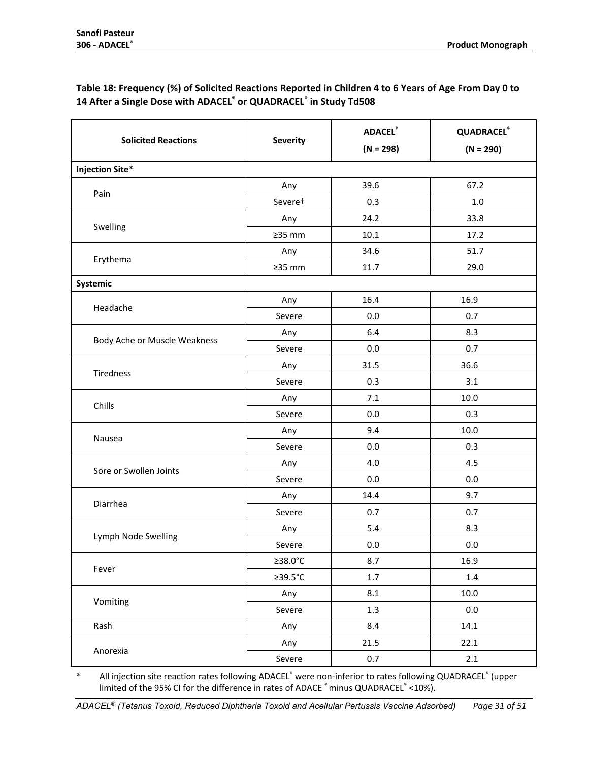## <span id="page-30-0"></span>**Table 18: Frequency (%) of Solicited Reactions Reported in Children 4 to 6 Years of Age From Day 0 to 14 After a Single Dose with ADACEL® or QUADRACEL® in Study Td508**

|                              |                     | <b>ADACEL®</b> | <b>QUADRACEL®</b> |  |
|------------------------------|---------------------|----------------|-------------------|--|
| <b>Solicited Reactions</b>   | <b>Severity</b>     | $(N = 298)$    | $(N = 290)$       |  |
| <b>Injection Site*</b>       |                     |                |                   |  |
| Pain                         | Any                 | 39.6           | 67.2              |  |
|                              | Severe <sup>+</sup> | 0.3            | 1.0               |  |
|                              | Any                 | 24.2           | 33.8              |  |
| Swelling                     | $235$ mm            | 10.1           | 17.2              |  |
|                              | Any                 | 34.6           | 51.7              |  |
| Erythema                     | $\geq$ 35 mm        | 11.7           | 29.0              |  |
| Systemic                     |                     |                |                   |  |
|                              | Any                 | 16.4           | 16.9              |  |
| Headache                     | Severe              | 0.0            | 0.7               |  |
|                              | Any                 | 6.4            | 8.3               |  |
| Body Ache or Muscle Weakness | Severe              | 0.0            | 0.7               |  |
|                              | Any                 | 31.5           | 36.6              |  |
| <b>Tiredness</b>             | Severe              | 0.3            | 3.1               |  |
|                              | Any                 | 7.1            | 10.0              |  |
| Chills                       | Severe              | 0.0            | 0.3               |  |
|                              | Any                 | 9.4            | 10.0              |  |
| Nausea                       | Severe              | 0.0            | 0.3               |  |
|                              | Any                 | 4.0            | 4.5               |  |
| Sore or Swollen Joints       | Severe              | 0.0            | 0.0               |  |
|                              | Any                 | 14.4           | 9.7               |  |
| Diarrhea                     | Severe              | 0.7            | 0.7               |  |
|                              | Any                 | 5.4            | 8.3               |  |
| Lymph Node Swelling          | Severe              | 0.0            | $0.0\,$           |  |
|                              | ≥38.0°C             | 8.7            | 16.9              |  |
| Fever                        | ≥39.5°C             | $1.7\,$        | $1.4\,$           |  |
|                              | Any                 | 8.1            | 10.0              |  |
| Vomiting                     | Severe              | 1.3            | $0.0\,$           |  |
| Rash                         | Any                 | 8.4            | 14.1              |  |
| Anorexia                     | Any                 | 21.5           | 22.1              |  |
|                              | Severe              | 0.7            | 2.1               |  |

All injection site reaction rates following ADACEL® were non-inferior to rates following QUADRACEL® (upper limited of the 95% CI for the difference in rates of ADACE ®minus QUADRACEL® <10%).

*ADACEL® (Tetanus Toxoid, Reduced Diphtheria Toxoid and Acellular Pertussis Vaccine Adsorbed) Page 31 of 51*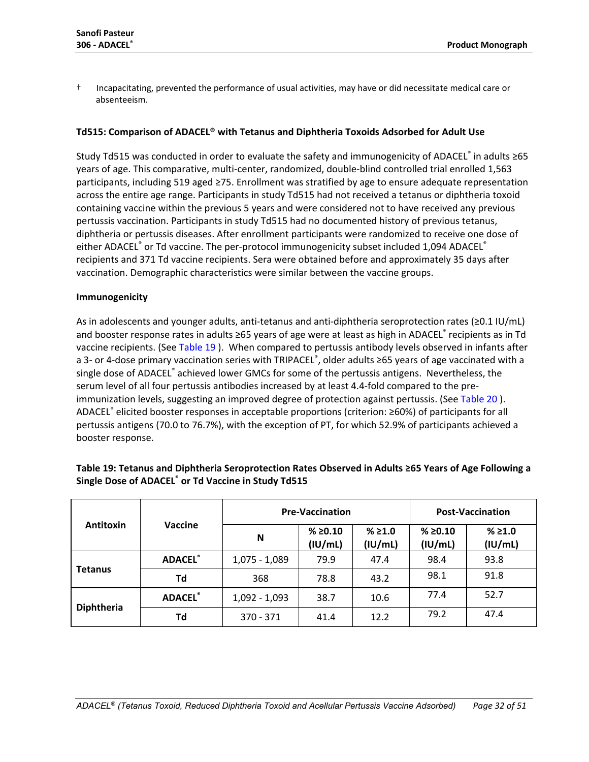† Incapacitating, prevented the performance of usual activities, may have or did necessitate medical care or absenteeism.

#### **Td515: Comparison of ADACEL® with Tetanus and Diphtheria Toxoids Adsorbed for Adult Use**

Study Td515 was conducted in order to evaluate the safety and immunogenicity of ADACEL® in adults ≥65 years of age. This comparative, multi-center, randomized, double-blind controlled trial enrolled 1,563 participants, including 519 aged ≥75. Enrollment was stratified by age to ensure adequate representation across the entire age range. Participants in study Td515 had not received a tetanus or diphtheria toxoid containing vaccine within the previous 5 years and were considered not to have received any previous pertussis vaccination. Participants in study Td515 had no documented history of previous tetanus, diphtheria or pertussis diseases. After enrollment participants were randomized to receive one dose of either ADACEL® or Td vaccine. The per-protocol immunogenicity subset included 1,094 ADACEL® recipients and 371 Td vaccine recipients. Sera were obtained before and approximately 35 days after vaccination. Demographic characteristics were similar between the vaccine groups.

#### **Immunogenicity**

As in adolescents and younger adults, anti-tetanus and anti-diphtheria seroprotection rates (≥0.1 IU/mL) and booster response rates in adults ≥65 years of age were at least as high in ADACEL® recipients as in Td vaccine recipients. (See [Table 19](#page-31-0) ). When compared to pertussis antibody levels observed in infants after a 3- or 4-dose primary vaccination series with TRIPACEL®, older adults ≥65 years of age vaccinated with a single dose of ADACEL® achieved lower GMCs for some of the pertussis antigens. Nevertheless, the serum level of all four pertussis antibodies increased by at least 4.4-fold compared to the pre-immunization levels, suggesting an improved degree of protection against pertussis. (See [Table 20](#page-32-0)). ADACEL® elicited booster responses in acceptable proportions (criterion: ≥60%) of participants for all pertussis antigens (70.0 to 76.7%), with the exception of PT, for which 52.9% of participants achieved a booster response.

|                                    |                |                 | <b>Pre-Vaccination</b> |                   | <b>Post-Vaccination</b> |                    |
|------------------------------------|----------------|-----------------|------------------------|-------------------|-------------------------|--------------------|
| <b>Vaccine</b><br><b>Antitoxin</b> |                | N               | % ≥0.10<br>(IU/mL)     | % ≥1.0<br>(IU/mL) | % ≥0.10<br>(IU/mL)      | % ≥ 1.0<br>(IU/mL) |
|                                    | <b>ADACEL®</b> | $1,075 - 1,089$ | 79.9                   | 47.4              | 98.4                    | 93.8               |
| <b>Tetanus</b>                     | Td             | 368             | 78.8                   | 43.2              | 98.1                    | 91.8               |
|                                    | <b>ADACEL®</b> | $1,092 - 1,093$ | 38.7                   | 10.6              | 77.4                    | 52.7               |
| <b>Diphtheria</b>                  | Td             | $370 - 371$     | 41.4                   | 12.2              | 79.2                    | 47.4               |

## <span id="page-31-0"></span>**Table 19: Tetanus and Diphtheria Seroprotection Rates Observed in Adults ≥65 Years of Age Following a Single Dose of ADACEL® or Td Vaccine in Study Td515**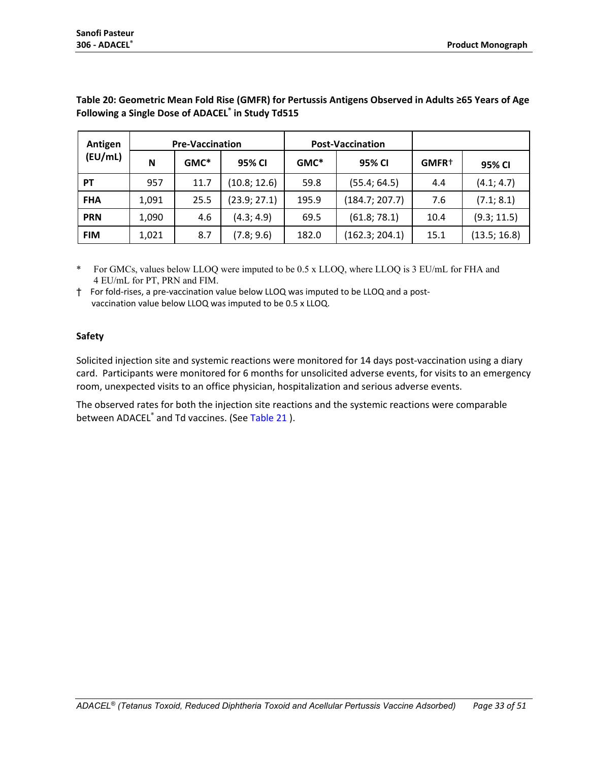| Antigen    | <b>Pre-Vaccination</b> |         | <b>Post-Vaccination</b> |         |                |                   |              |
|------------|------------------------|---------|-------------------------|---------|----------------|-------------------|--------------|
| (EU/mL)    | N                      | $GMC^*$ | 95% CI                  | $GMC^*$ | 95% CI         | GMFR <sup>+</sup> | 95% CI       |
| <b>PT</b>  | 957                    | 11.7    | (10.8; 12.6)            | 59.8    | (55.4; 64.5)   | 4.4               | (4.1; 4.7)   |
| <b>FHA</b> | 1,091                  | 25.5    | (23.9; 27.1)            | 195.9   | (184.7; 207.7) | 7.6               | (7.1; 8.1)   |
| <b>PRN</b> | 1,090                  | 4.6     | (4.3; 4.9)              | 69.5    | (61.8; 78.1)   | 10.4              | (9.3; 11.5)  |
| <b>FIM</b> | 1,021                  | 8.7     | (7.8; 9.6)              | 182.0   | (162.3; 204.1) | 15.1              | (13.5; 16.8) |

## <span id="page-32-0"></span>**Table 20: Geometric Mean Fold Rise (GMFR) for Pertussis Antigens Observed in Adults ≥65 Years of Age Following a Single Dose of ADACEL® in Study Td515**

\* For GMCs, values below LLOQ were imputed to be 0.5 x LLOQ, where LLOQ is 3 EU/mL for FHA and 4 EU/mL for PT, PRN and FIM.

† For fold-rises, a pre-vaccination value below LLOQ was imputed to be LLOQ and a post vaccination value below LLOQ was imputed to be 0.5 x LLOQ.

## **Safety**

Solicited injection site and systemic reactions were monitored for 14 days post-vaccination using a diary card. Participants were monitored for 6 months for unsolicited adverse events, for visits to an emergency room, unexpected visits to an office physician, hospitalization and serious adverse events.

The observed rates for both the injection site reactions and the systemic reactions were comparable between ADACEL<sup>®</sup> and Td vaccines. (See [Table 21](#page-33-0)).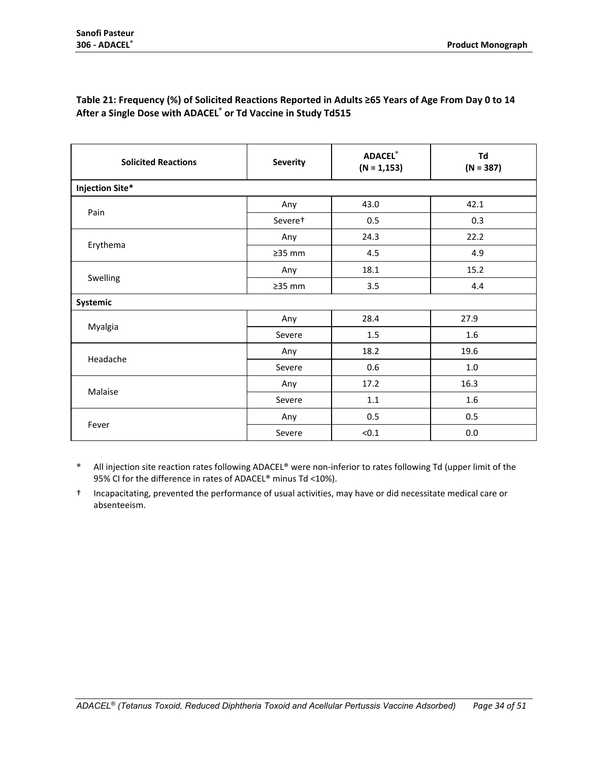| <b>Solicited Reactions</b> | <b>Severity</b> | <b>ADACEL®</b><br>$(N = 1, 153)$ | Td<br>$(N = 387)$ |
|----------------------------|-----------------|----------------------------------|-------------------|
| <b>Injection Site*</b>     |                 |                                  |                   |
| Pain                       | Any             | 43.0                             | 42.1              |
|                            | Severet         | 0.5                              | 0.3               |
|                            | Any             | 24.3                             | 22.2              |
| Erythema                   | $\geq$ 35 mm    | 4.5                              | 4.9               |
|                            | Any             | 18.1                             | 15.2              |
| Swelling                   | $\geq$ 35 mm    | 3.5                              | 4.4               |
| Systemic                   |                 |                                  |                   |
|                            | Any             | 28.4                             | 27.9              |
| Myalgia                    | Severe          | 1.5                              | 1.6               |
|                            | Any             | 18.2                             | 19.6              |
| Headache                   | Severe          | 0.6                              | $1.0\,$           |
| Malaise                    | Any             | 17.2                             | 16.3              |
|                            | Severe          | 1.1                              | 1.6               |
|                            | Any             | 0.5                              | 0.5               |
| Fever                      | Severe          | < 0.1                            | $0.0\,$           |

#### <span id="page-33-0"></span>**Table 21: Frequency (%) of Solicited Reactions Reported in Adults ≥65 Years of Age From Day 0 to 14 After a Single Dose with ADACEL® or Td Vaccine in Study Td515**

\* All injection site reaction rates following ADACEL® were non-inferior to rates following Td (upper limit of the 95% CI for the difference in rates of ADACEL® minus Td <10%).

† Incapacitating, prevented the performance of usual activities, may have or did necessitate medical care or absenteeism.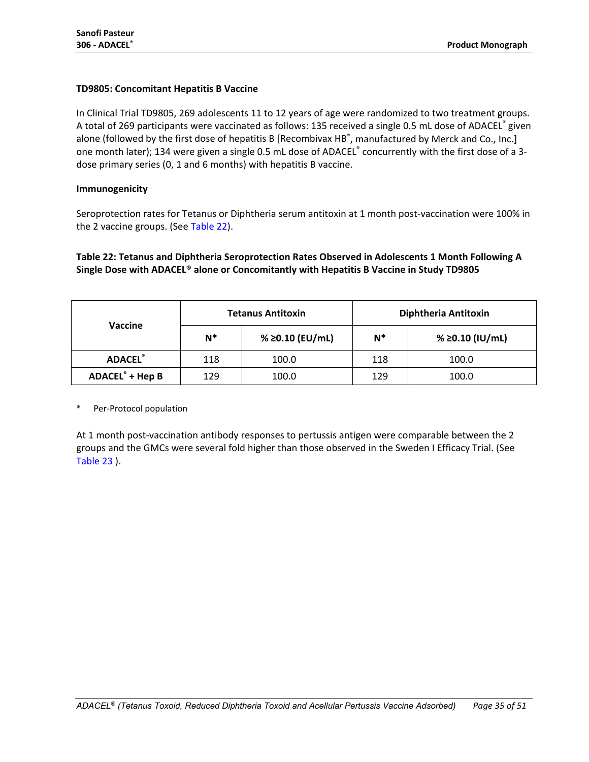#### **TD9805: Concomitant Hepatitis B Vaccine**

In Clinical Trial TD9805, 269 adolescents 11 to 12 years of age were randomized to two treatment groups. A total of 269 participants were vaccinated as follows: 135 received a single 0.5 mL dose of ADACEL® given alone (followed by the first dose of hepatitis B [Recombivax HB<sup>®</sup>, manufactured by Merck and Co., Inc.] one month later); 134 were given a single 0.5 mL dose of ADACEL® concurrently with the first dose of a 3dose primary series (0, 1 and 6 months) with hepatitis B vaccine.

#### **Immunogenicity**

Seroprotection rates for Tetanus or Diphtheria serum antitoxin at 1 month post-vaccination were 100% in the 2 vaccine groups. (See [Table 22\)](#page-34-0).

## <span id="page-34-0"></span>**Table 22: Tetanus and Diphtheria Seroprotection Rates Observed in Adolescents 1 Month Following A Single Dose with ADACEL® alone or Concomitantly with Hepatitis B Vaccine in Study TD9805**

|                             |       | <b>Tetanus Antitoxin</b> | Diphtheria Antitoxin |                 |  |
|-----------------------------|-------|--------------------------|----------------------|-----------------|--|
| <b>Vaccine</b>              | $N^*$ | % ≥0.10 (EU/mL)          | $N^*$                | % ≥0.10 (IU/mL) |  |
| <b>ADACEL®</b>              | 118   | 100.0                    | 118                  | 100.0           |  |
| ADACEL <sup>®</sup> + Hep B | 129   | 100.0                    | 129                  | 100.0           |  |

Per-Protocol population

At 1 month post-vaccination antibody responses to pertussis antigen were comparable between the 2 groups and the GMCs were several fold higher than those observed in the Sweden I Efficacy Trial. (See [Table 23](#page-35-0) ).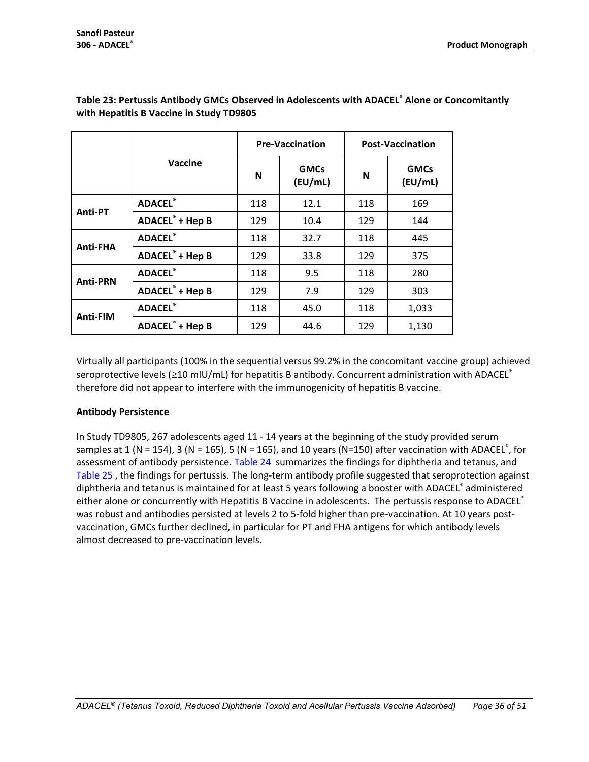|                 |                                   |     | <b>Pre-Vaccination</b> | <b>Post-Vaccination</b> |                        |
|-----------------|-----------------------------------|-----|------------------------|-------------------------|------------------------|
|                 | Vaccine                           | N   | <b>GMCs</b><br>(EU/mL) | N                       | <b>GMCs</b><br>(EU/mL) |
|                 | <b>ADACEL®</b>                    | 118 | 12.1                   | 118                     | 169                    |
| Anti-PT         | <b>ADACEL<sup>®</sup> + Hep B</b> | 129 | 10.4                   | 129                     | 144                    |
|                 | <b>ADACEL®</b>                    | 118 | 32.7                   | 118                     | 445                    |
| Anti-FHA        | <b>ADACEL<sup>®</sup> + Hep B</b> | 129 | 33.8                   | 129                     | 375                    |
| <b>Anti-PRN</b> | <b>ADACEL®</b>                    | 118 | 9.5                    | 118                     | 280                    |
|                 | <b>ADACEL<sup>®</sup> + Hep B</b> | 129 | 7.9                    | 129                     | 303                    |
|                 | <b>ADACEL®</b>                    | 118 | 45.0                   | 118                     | 1,033                  |
| <b>Anti-FIM</b> | <b>ADACEL<sup>®</sup> + Hep B</b> | 129 | 44.6                   | 129                     | 1,130                  |

## <span id="page-35-0"></span>**Table 23: Pertussis Antibody GMCs Observed in Adolescents with ADACEL® Alone or Concomitantly with Hepatitis B Vaccine in Study TD9805**

Virtually all participants (100% in the sequential versus 99.2% in the concomitant vaccine group) achieved seroprotective levels (≥10 mIU/mL) for hepatitis B antibody. Concurrent administration with ADACEL® therefore did not appear to interfere with the immunogenicity of hepatitis B vaccine.

#### **Antibody Persistence**

In Study TD9805, 267 adolescents aged 11 - 14 years at the beginning of the study provided serum samples at 1 (N = 154), 3 (N = 165), 5 (N = 165), and 10 years (N=150) after vaccination with ADACEL<sup>®</sup>, for assessment of antibody persistence. [Table 24](#page-36-0) summarizes the findings for diphtheria and tetanus, and [Table 25](#page-37-0) , the findings for pertussis. The long-term antibody profile suggested that seroprotection against diphtheria and tetanus is maintained for at least 5 years following a booster with ADACEL® administered either alone or concurrently with Hepatitis B Vaccine in adolescents. The pertussis response to ADACEL® was robust and antibodies persisted at levels 2 to 5-fold higher than pre-vaccination. At 10 years postvaccination, GMCs further declined, in particular for PT and FHA antigens for which antibody levels almost decreased to pre-vaccination levels.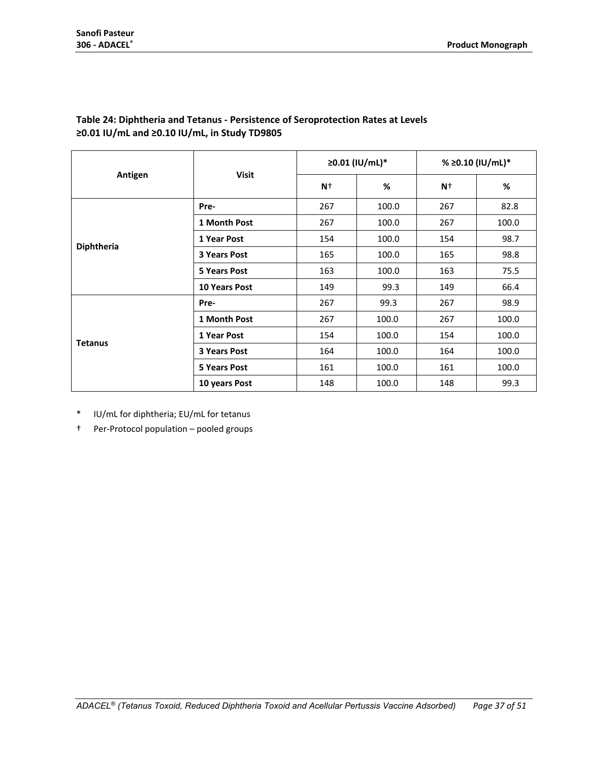|                   |                      |      | ≥0.01 (IU/mL)* | % ≥0.10 (IU/mL)* |       |
|-------------------|----------------------|------|----------------|------------------|-------|
| Antigen           | <b>Visit</b>         | $N+$ | %              | $N^+$            | %     |
|                   | Pre-                 | 267  | 100.0          | 267              | 82.8  |
|                   | 1 Month Post         | 267  | 100.0          | 267              | 100.0 |
|                   | 1 Year Post          | 154  | 100.0          | 154              | 98.7  |
| <b>Diphtheria</b> | <b>3 Years Post</b>  | 165  | 100.0          | 165              | 98.8  |
|                   | <b>5 Years Post</b>  | 163  | 100.0          | 163              | 75.5  |
|                   | <b>10 Years Post</b> | 149  | 99.3           | 149              | 66.4  |
|                   | Pre-                 | 267  | 99.3           | 267              | 98.9  |
|                   | 1 Month Post         | 267  | 100.0          | 267              | 100.0 |
| <b>Tetanus</b>    | 1 Year Post          | 154  | 100.0          | 154              | 100.0 |
|                   | <b>3 Years Post</b>  | 164  | 100.0          | 164              | 100.0 |
|                   | <b>5 Years Post</b>  | 161  | 100.0          | 161              | 100.0 |
|                   | 10 years Post        | 148  | 100.0          | 148              | 99.3  |

## <span id="page-36-0"></span>**Table 24: Diphtheria and Tetanus - Persistence of Seroprotection Rates at Levels ≥0.01 IU/mL and ≥0.10 IU/mL, in Study TD9805**

\* IU/mL for diphtheria; EU/mL for tetanus

† Per-Protocol population – pooled groups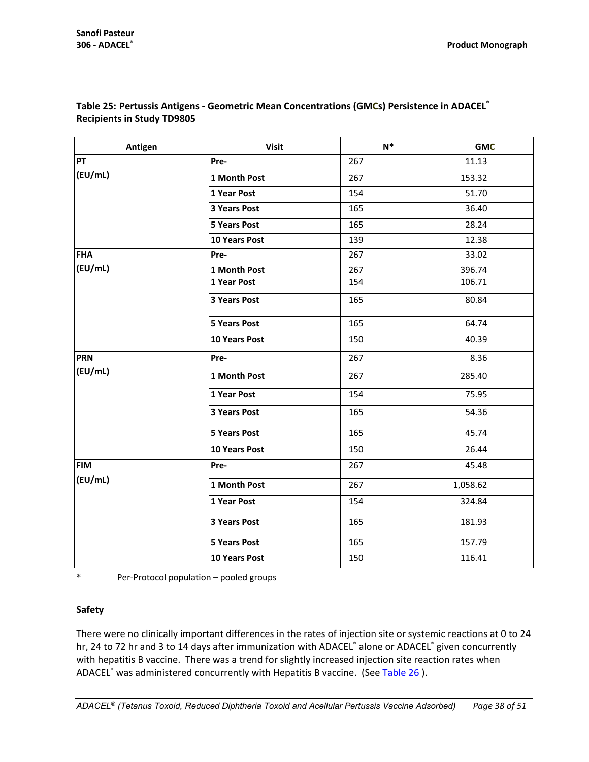| Antigen    | <b>Visit</b>         | $\mathsf{N}^*$ | <b>GMC</b> |
|------------|----------------------|----------------|------------|
| PT         | Pre-                 | 267            | 11.13      |
| (EU/mL)    | 1 Month Post         | 267            | 153.32     |
|            | 1 Year Post          | 154            | 51.70      |
|            | 3 Years Post         | 165            | 36.40      |
|            | <b>5 Years Post</b>  | 165            | 28.24      |
|            | <b>10 Years Post</b> | 139            | 12.38      |
| <b>FHA</b> | Pre-                 | 267            | 33.02      |
| (EU/mL)    | 1 Month Post         | 267            | 396.74     |
|            | 1 Year Post          | 154            | 106.71     |
|            | 3 Years Post         | 165            | 80.84      |
|            | <b>5 Years Post</b>  | 165            | 64.74      |
|            | 10 Years Post        | 150            | 40.39      |
| <b>PRN</b> | Pre-                 | 267            | 8.36       |
| (EU/mL)    | 1 Month Post         | 267            | 285.40     |
|            | 1 Year Post          | 154            | 75.95      |
|            | 3 Years Post         | 165            | 54.36      |
|            | <b>5 Years Post</b>  | 165            | 45.74      |
|            | 10 Years Post        | 150            | 26.44      |
| <b>FIM</b> | Pre-                 | 267            | 45.48      |
| (EU/mL)    | 1 Month Post         | 267            | 1,058.62   |
|            | 1 Year Post          | 154            | 324.84     |
|            | 3 Years Post         | 165            | 181.93     |
|            | <b>5 Years Post</b>  | 165            | 157.79     |
|            | 10 Years Post        | 150            | 116.41     |

## <span id="page-37-0"></span>**Table 25: Pertussis Antigens - Geometric Mean Concentrations (GMCs) Persistence in ADACEL® Recipients in Study TD9805**

\* Per-Protocol population – pooled groups

## **Safety**

There were no clinically important differences in the rates of injection site or systemic reactions at 0 to 24 hr, 24 to 72 hr and 3 to 14 days after immunization with ADACEL® alone or ADACEL® given concurrently with hepatitis B vaccine. There was a trend for slightly increased injection site reaction rates when ADACEL<sup>®</sup> was administered concurrently with Hepatitis B vaccine. (See [Table 26](#page-38-0)).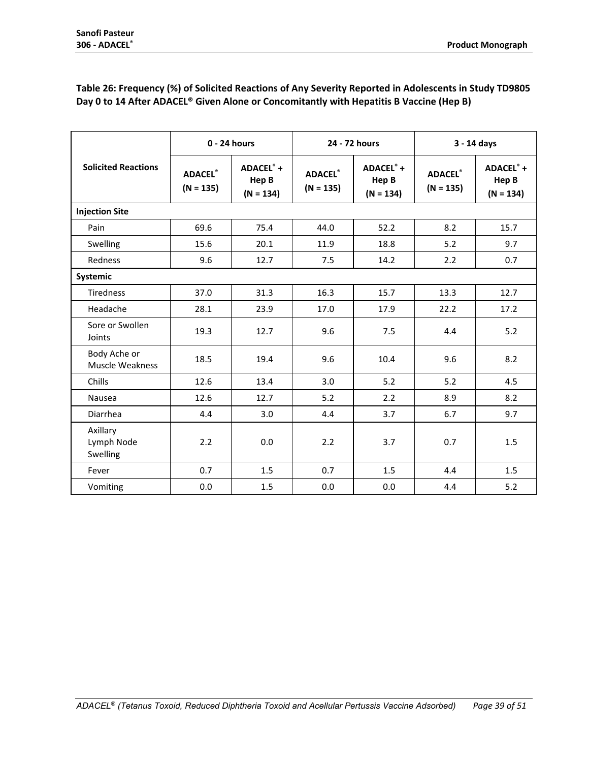|                                    | $0 - 24$ hours                |                                   | 24 - 72 hours                 |                                     | 3 - 14 days                   |                                   |
|------------------------------------|-------------------------------|-----------------------------------|-------------------------------|-------------------------------------|-------------------------------|-----------------------------------|
| <b>Solicited Reactions</b>         | <b>ADACEL®</b><br>$(N = 135)$ | ADACEL® +<br>Hep B<br>$(N = 134)$ | <b>ADACEL®</b><br>$(N = 135)$ | $ADACEL° +$<br>Hep B<br>$(N = 134)$ | <b>ADACEL®</b><br>$(N = 135)$ | ADACEL® +<br>Hep B<br>$(N = 134)$ |
| <b>Injection Site</b>              |                               |                                   |                               |                                     |                               |                                   |
| Pain                               | 69.6                          | 75.4                              | 44.0                          | 52.2                                | 8.2                           | 15.7                              |
| Swelling                           | 15.6                          | 20.1                              | 11.9                          | 18.8                                | 5.2                           | 9.7                               |
| Redness                            | 9.6                           | 12.7                              | 7.5                           | 14.2                                | 2.2                           | 0.7                               |
| Systemic                           |                               |                                   |                               |                                     |                               |                                   |
| <b>Tiredness</b>                   | 37.0                          | 31.3                              | 16.3                          | 15.7                                | 13.3                          | 12.7                              |
| Headache                           | 28.1                          | 23.9                              | 17.0                          | 17.9                                | 22.2                          | 17.2                              |
| Sore or Swollen<br>Joints          | 19.3                          | 12.7                              | 9.6                           | 7.5                                 | 4.4                           | 5.2                               |
| Body Ache or<br>Muscle Weakness    | 18.5                          | 19.4                              | 9.6                           | 10.4                                | 9.6                           | 8.2                               |
| Chills                             | 12.6                          | 13.4                              | 3.0                           | 5.2                                 | 5.2                           | 4.5                               |
| Nausea                             | 12.6                          | 12.7                              | 5.2                           | 2.2                                 | 8.9                           | 8.2                               |
| Diarrhea                           | 4.4                           | 3.0                               | 4.4                           | 3.7                                 | 6.7                           | 9.7                               |
| Axillary<br>Lymph Node<br>Swelling | 2.2                           | 0.0                               | 2.2                           | 3.7                                 | 0.7                           | 1.5                               |
| Fever                              | 0.7                           | 1.5                               | 0.7                           | 1.5                                 | 4.4                           | 1.5                               |
| Vomiting                           | 0.0                           | 1.5                               | 0.0                           | 0.0                                 | 4.4                           | 5.2                               |

## <span id="page-38-0"></span>**Table 26: Frequency (%) of Solicited Reactions of Any Severity Reported in Adolescents in Study TD9805 Day 0 to 14 After ADACEL® Given Alone or Concomitantly with Hepatitis B Vaccine (Hep B)**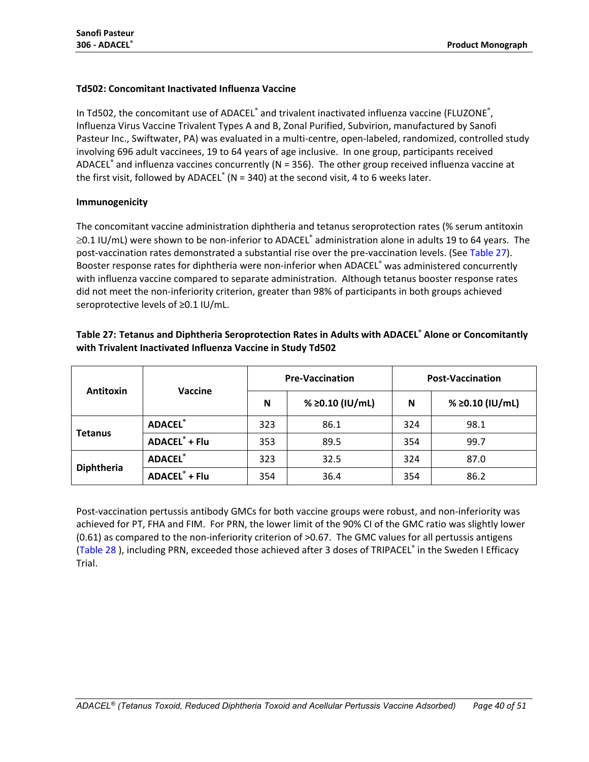#### **Td502: Concomitant Inactivated Influenza Vaccine**

In Td502, the concomitant use of ADACEL<sup>®</sup> and trivalent inactivated influenza vaccine (FLUZONE<sup>®</sup>, Influenza Virus Vaccine Trivalent Types A and B, Zonal Purified, Subvirion, manufactured by Sanofi Pasteur Inc., Swiftwater, PA) was evaluated in a multi-centre, open-labeled, randomized, controlled study involving 696 adult vaccinees, 19 to 64 years of age inclusive. In one group, participants received ADACEL $^{\circ}$  and influenza vaccines concurrently (N = 356). The other group received influenza vaccine at the first visit, followed by ADACEL<sup>®</sup> (N = 340) at the second visit, 4 to 6 weeks later.

## **Immunogenicity**

The concomitant vaccine administration diphtheria and tetanus seroprotection rates (% serum antitoxin ≥0.1 IU/mL) were shown to be non-inferior to ADACEL® administration alone in adults 19 to 64 years. The post-vaccination rates demonstrated a substantial rise over the pre-vaccination levels. (See [Table 27\)](#page-39-0). Booster response rates for diphtheria were non-inferior when ADACEL® was administered concurrently with influenza vaccine compared to separate administration. Although tetanus booster response rates did not meet the non-inferiority criterion, greater than 98% of participants in both groups achieved seroprotective levels of ≥0.1 IU/mL.

<span id="page-39-0"></span>

| Table 27: Tetanus and Diphtheria Seroprotection Rates in Adults with ADACEL® Alone or Concomitantly |
|-----------------------------------------------------------------------------------------------------|
| with Trivalent Inactivated Influenza Vaccine in Study Td502                                         |

| Antitoxin         | Vaccine                          |     | <b>Pre-Vaccination</b> | <b>Post-Vaccination</b> |                 |  |
|-------------------|----------------------------------|-----|------------------------|-------------------------|-----------------|--|
|                   |                                  | N   | % ≥0.10 (IU/mL)        | N                       | % ≥0.10 (IU/mL) |  |
|                   | <b>ADACEL®</b>                   | 323 | 86.1                   | 324                     | 98.1            |  |
| <b>Tetanus</b>    | <b>ADACEL</b> <sup>®</sup> + Flu | 353 | 89.5                   | 354                     | 99.7            |  |
|                   | <b>ADACEL®</b>                   | 323 | 32.5                   | 324                     | 87.0            |  |
| <b>Diphtheria</b> | <b>ADACEL</b> <sup>®</sup> + Flu | 354 | 36.4                   | 354                     | 86.2            |  |

Post-vaccination pertussis antibody GMCs for both vaccine groups were robust, and non-inferiority was achieved for PT, FHA and FIM. For PRN, the lower limit of the 90% CI of the GMC ratio was slightly lower (0.61) as compared to the non-inferiority criterion of >0.67. The GMC values for all pertussis antigens [\(Table 28](#page-40-0) ), including PRN, exceeded those achieved after 3 doses of TRIPACEL® in the Sweden I Efficacy Trial.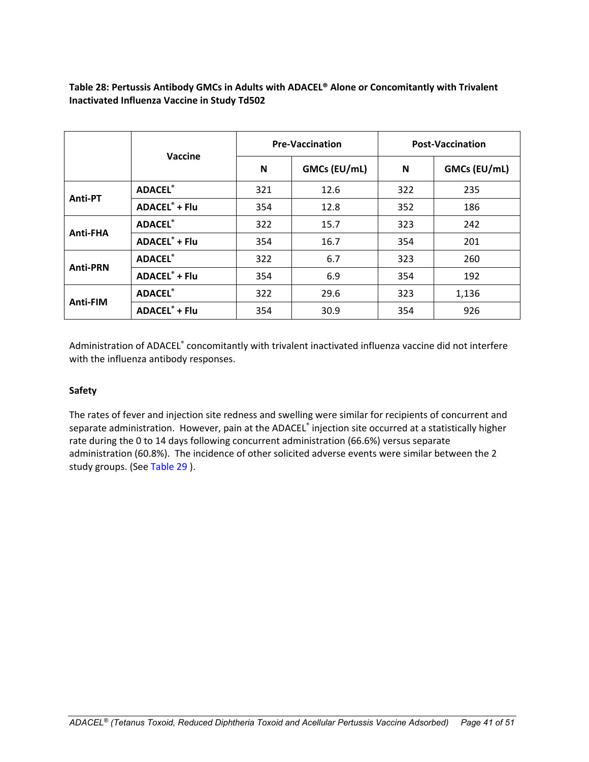## <span id="page-40-0"></span>**Table 28: Pertussis Antibody GMCs in Adults with ADACEL® Alone or Concomitantly with Trivalent Inactivated Influenza Vaccine in Study Td502**

|                 |                                  |     | <b>Pre-Vaccination</b> | <b>Post-Vaccination</b> |              |  |
|-----------------|----------------------------------|-----|------------------------|-------------------------|--------------|--|
|                 | Vaccine                          | N   | GMCs (EU/mL)           | N                       | GMCs (EU/mL) |  |
|                 | <b>ADACEL®</b>                   | 321 | 12.6                   | 322                     | 235          |  |
| Anti-PT         | <b>ADACEL</b> <sup>®</sup> + Flu | 354 | 12.8                   | 352                     | 186          |  |
|                 | <b>ADACEL®</b>                   | 322 | 15.7                   | 323                     | 242          |  |
| <b>Anti-FHA</b> | <b>ADACEL®</b> + Flu             | 354 | 16.7                   | 354                     | 201          |  |
| <b>Anti-PRN</b> | <b>ADACEL®</b>                   | 322 | 6.7                    | 323                     | 260          |  |
|                 | <b>ADACEL</b> <sup>®</sup> + Flu | 354 | 6.9                    | 354                     | 192          |  |
|                 | <b>ADACEL®</b>                   | 322 | 29.6                   | 323                     | 1,136        |  |
| Anti-FIM        | <b>ADACEL®</b> + Flu             | 354 | 30.9                   | 354                     | 926          |  |

Administration of ADACEL® concomitantly with trivalent inactivated influenza vaccine did not interfere with the influenza antibody responses.

## **Safety**

The rates of fever and injection site redness and swelling were similar for recipients of concurrent and separate administration. However, pain at the ADACEL® injection site occurred at a statistically higher rate during the 0 to 14 days following concurrent administration (66.6%) versus separate administration (60.8%). The incidence of other solicited adverse events were similar between the 2 study groups. (See [Table 29](#page-41-0) ).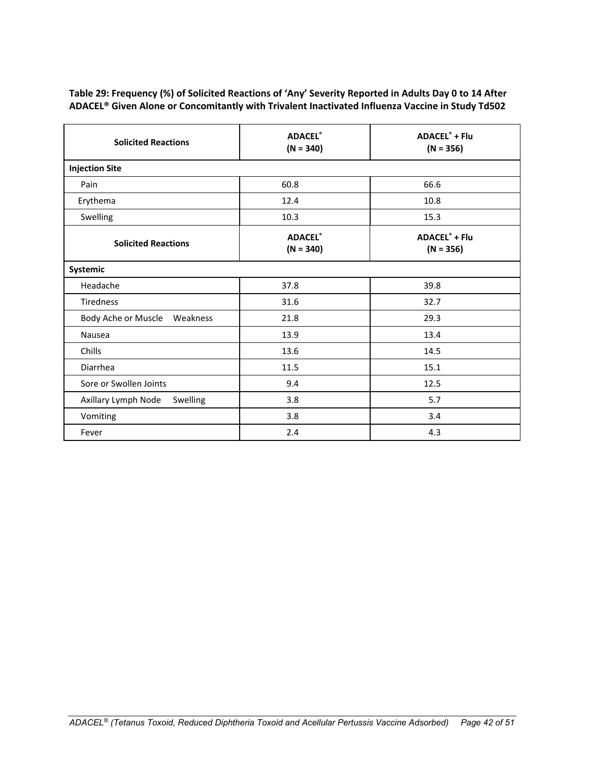## <span id="page-41-0"></span>**Table 29: Frequency (%) of Solicited Reactions of 'Any' Severity Reported in Adults Day 0 to 14 After ADACEL® Given Alone or Concomitantly with Trivalent Inactivated Influenza Vaccine in Study Td502**

| <b>Solicited Reactions</b>      | <b>ADACEL®</b><br>$(N = 340)$ | <b>ADACEL<sup>®</sup> + Flu</b><br>$(N = 356)$ |  |  |  |  |
|---------------------------------|-------------------------------|------------------------------------------------|--|--|--|--|
| <b>Injection Site</b>           |                               |                                                |  |  |  |  |
| Pain                            | 60.8                          | 66.6                                           |  |  |  |  |
| Erythema                        | 12.4                          | 10.8                                           |  |  |  |  |
| Swelling                        | 10.3                          | 15.3                                           |  |  |  |  |
| <b>Solicited Reactions</b>      | <b>ADACEL®</b><br>$(N = 340)$ | <b>ADACEL<sup>®</sup> + Flu</b><br>$(N = 356)$ |  |  |  |  |
| Systemic                        |                               |                                                |  |  |  |  |
| Headache                        | 37.8                          | 39.8                                           |  |  |  |  |
| <b>Tiredness</b>                | 31.6                          | 32.7                                           |  |  |  |  |
| Body Ache or Muscle Weakness    | 21.8                          | 29.3                                           |  |  |  |  |
| Nausea                          | 13.9                          | 13.4                                           |  |  |  |  |
| Chills                          | 13.6                          | 14.5                                           |  |  |  |  |
| Diarrhea                        | 11.5                          | 15.1                                           |  |  |  |  |
| Sore or Swollen Joints          | 9.4                           | 12.5                                           |  |  |  |  |
| Axillary Lymph Node<br>Swelling | 3.8                           | 5.7                                            |  |  |  |  |
| Vomiting                        | 3.8                           | 3.4                                            |  |  |  |  |
| Fever                           | 2.4                           | 4.3                                            |  |  |  |  |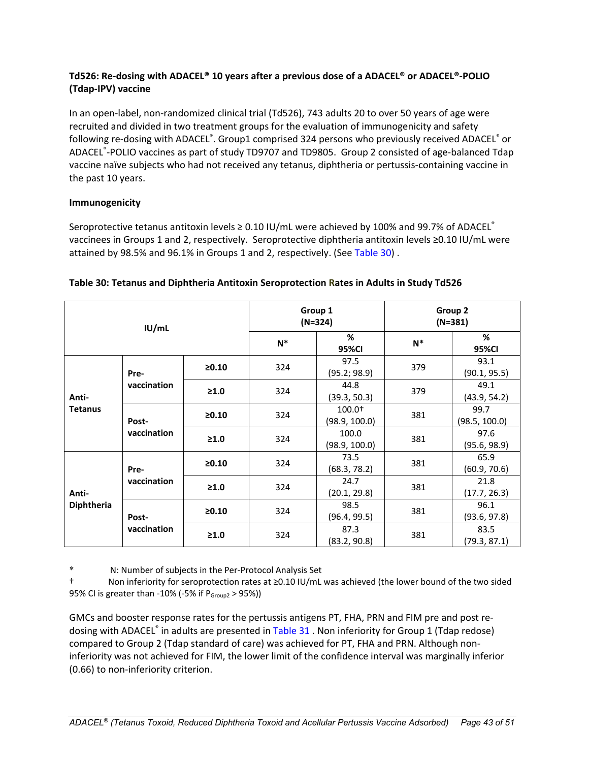## **Td526: Re-dosing with ADACEL® 10 years after a previous dose of a ADACEL® or ADACEL®-POLIO (Tdap-IPV) vaccine**

In an open-label, non-randomized clinical trial (Td526), 743 adults 20 to over 50 years of age were recruited and divided in two treatment groups for the evaluation of immunogenicity and safety following re-dosing with ADACEL $\degree$ . Group1 comprised 324 persons who previously received ADACEL $\degree$  or ADACEL® -POLIO vaccines as part of study TD9707 and TD9805. Group 2 consisted of age-balanced Tdap vaccine naïve subjects who had not received any tetanus, diphtheria or pertussis-containing vaccine in the past 10 years.

## **Immunogenicity**

Seroprotective tetanus antitoxin levels ≥ 0.10 IU/mL were achieved by 100% and 99.7% of ADACEL® vaccinees in Groups 1 and 2, respectively. Seroprotective diphtheria antitoxin levels ≥0.10 IU/mL were attained by 98.5% and 96.1% in Groups 1 and 2, respectively. (See [Table](#page-42-0) 30).

| IUI/mL                  |                      |            | Group 1<br>$(N=324)$ |                           | Group 2<br>$(N=381)$ |                       |
|-------------------------|----------------------|------------|----------------------|---------------------------|----------------------|-----------------------|
|                         |                      |            | $N^*$                | %<br>95%CI                | $N^*$                | %<br>95%CI            |
| Anti-<br><b>Tetanus</b> | Pre-<br>vaccination  | $\ge 0.10$ | 324                  | 97.5<br>(95.2; 98.9)      | 379                  | 93.1<br>(90.1, 95.5)  |
|                         |                      | $\geq 1.0$ | 324                  | 44.8<br>(39.3, 50.3)      | 379                  | 49.1<br>(43.9, 54.2)  |
|                         | Post-<br>vaccination | $\ge 0.10$ | 324                  | $100.0+$<br>(98.9, 100.0) | 381                  | 99.7<br>(98.5, 100.0) |
|                         |                      | $\geq 1.0$ | 324                  | 100.0<br>(98.9, 100.0)    | 381                  | 97.6<br>(95.6, 98.9)  |
| Anti-<br>Diphtheria     | Pre-<br>vaccination  | $\ge 0.10$ | 324                  | 73.5<br>(68.3, 78.2)      | 381                  | 65.9<br>(60.9, 70.6)  |
|                         |                      | $\geq 1.0$ | 324                  | 24.7<br>(20.1, 29.8)      | 381                  | 21.8<br>(17.7, 26.3)  |
|                         | Post-<br>vaccination | $\ge 0.10$ | 324                  | 98.5<br>(96.4, 99.5)      | 381                  | 96.1<br>(93.6, 97.8)  |
|                         |                      | $\geq 1.0$ | 324                  | 87.3<br>(83.2, 90.8)      | 381                  | 83.5<br>(79.3, 87.1)  |

## <span id="page-42-0"></span>**Table 30: Tetanus and Diphtheria Antitoxin Seroprotection Rates in Adults in Study Td526**

\* N: Number of subjects in the Per-Protocol Analysis Set

Non inferiority for seroprotection rates at ≥0.10 IU/mL was achieved (the lower bound of the two sided 95% CI is greater than -10% (-5% if P<sub>Group2</sub> > 95%))

GMCs and booster response rates for the pertussis antigens PT, FHA, PRN and FIM pre and post re-dosing with ADACEL® in adults are presented in [Table 31](#page-43-0). Non inferiority for Group 1 (Tdap redose) compared to Group 2 (Tdap standard of care) was achieved for PT, FHA and PRN. Although noninferiority was not achieved for FIM, the lower limit of the confidence interval was marginally inferior (0.66) to non-inferiority criterion.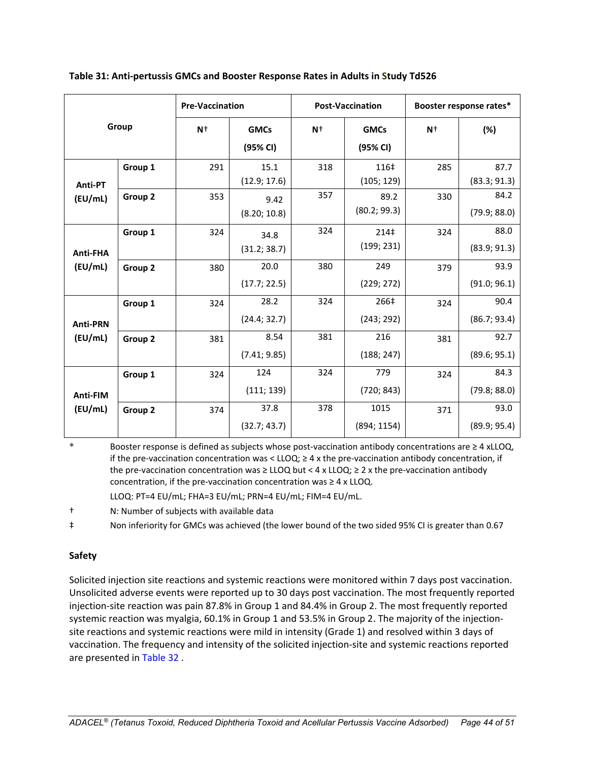| Group                      |                    | <b>Pre-Vaccination</b> |                         | <b>Post-Vaccination</b> |                         | Booster response rates* |                      |
|----------------------------|--------------------|------------------------|-------------------------|-------------------------|-------------------------|-------------------------|----------------------|
|                            |                    | $N+$                   | <b>GMCs</b><br>(95% CI) | $N+$                    | <b>GMCs</b><br>(95% CI) | $N+$                    | (%)                  |
| Anti-PT<br>(EU/mL)         | Group 1            | 291                    | 15.1<br>(12.9; 17.6)    | 318                     | 116‡<br>(105; 129)      | 285                     | 87.7<br>(83.3; 91.3) |
|                            | Group 2            | 353                    | 9.42<br>(8.20; 10.8)    | 357                     | 89.2<br>(80.2; 99.3)    | 330                     | 84.2<br>(79.9; 88.0) |
| <b>Anti-FHA</b><br>(EU/mL) | Group 1            | 324                    | 34.8<br>(31.2; 38.7)    | 324                     | 214‡<br>(199; 231)      | 324                     | 88.0<br>(83.9; 91.3) |
|                            | Group <sub>2</sub> | 380                    | 20.0<br>(17.7; 22.5)    | 380                     | 249<br>(229; 272)       | 379                     | 93.9<br>(91.0; 96.1) |
| <b>Anti-PRN</b><br>(EU/mL) | Group 1            | 324                    | 28.2<br>(24.4; 32.7)    | 324                     | 266‡<br>(243; 292)      | 324                     | 90.4<br>(86.7; 93.4) |
|                            | Group 2            | 381                    | 8.54<br>(7.41; 9.85)    | 381                     | 216<br>(188; 247)       | 381                     | 92.7<br>(89.6; 95.1) |
| Anti-FIM<br>(EU/mL)        | Group 1            | 324                    | 124<br>(111; 139)       | 324                     | 779<br>(720; 843)       | 324                     | 84.3<br>(79.8; 88.0) |
|                            | Group 2            | 374                    | 37.8<br>(32.7; 43.7)    | 378                     | 1015<br>(894; 1154)     | 371                     | 93.0<br>(89.9; 95.4) |

<span id="page-43-0"></span>**Table 31: Anti-pertussis GMCs and Booster Response Rates in Adults in Study Td526** 

Booster response is defined as subjects whose post-vaccination antibody concentrations are ≥ 4 xLLOQ, if the pre-vaccination concentration was <  $LLOQ$ ;  $\geq$  4 x the pre-vaccination antibody concentration, if the pre-vaccination concentration was ≥ LLOQ but < 4 x LLOQ; ≥ 2 x the pre-vaccination antibody concentration, if the pre-vaccination concentration was  $\geq 4$  x LLOQ.

LLOQ: PT=4 EU/mL; FHA=3 EU/mL; PRN=4 EU/mL; FIM=4 EU/mL.

† N: Number of subjects with available data

‡ Non inferiority for GMCs was achieved (the lower bound of the two sided 95% CI is greater than 0.67

## **Safety**

Solicited injection site reactions and systemic reactions were monitored within 7 days post vaccination. Unsolicited adverse events were reported up to 30 days post vaccination. The most frequently reported injection-site reaction was pain 87.8% in Group 1 and 84.4% in Group 2. The most frequently reported systemic reaction was myalgia, 60.1% in Group 1 and 53.5% in Group 2. The majority of the injectionsite reactions and systemic reactions were mild in intensity (Grade 1) and resolved within 3 days of vaccination. The frequency and intensity of the solicited injection-site and systemic reactions reported are presented in [Table 32](#page-44-0) .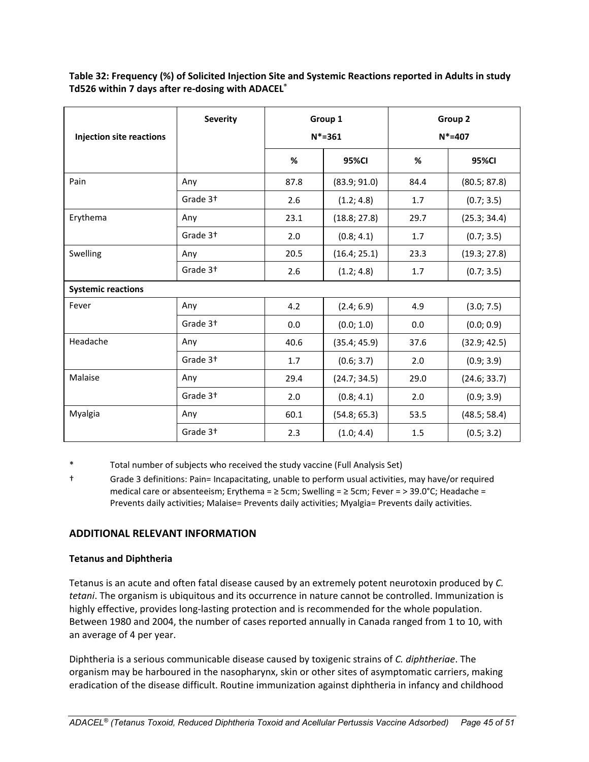| <b>Injection site reactions</b> | <b>Severity</b>      | Group 1<br>$N* = 361$ |              | Group 2<br>$N* = 407$ |              |
|---------------------------------|----------------------|-----------------------|--------------|-----------------------|--------------|
|                                 |                      | %                     | <b>95%CI</b> | %                     | 95%CI        |
| Pain                            | Any                  | 87.8                  | (83.9; 91.0) | 84.4                  | (80.5; 87.8) |
|                                 | Grade 3 <sup>+</sup> | 2.6                   | (1.2; 4.8)   | 1.7                   | (0.7; 3.5)   |
| Erythema                        | Any                  | 23.1                  | (18.8; 27.8) | 29.7                  | (25.3; 34.4) |
|                                 | Grade 3 <sup>+</sup> | 2.0                   | (0.8; 4.1)   | 1.7                   | (0.7; 3.5)   |
| Swelling                        | Any                  | 20.5                  | (16.4; 25.1) | 23.3                  | (19.3; 27.8) |
|                                 | Grade 3 <sup>+</sup> | 2.6                   | (1.2; 4.8)   | 1.7                   | (0.7; 3.5)   |
| <b>Systemic reactions</b>       |                      |                       |              |                       |              |
| Fever                           | Any                  | 4.2                   | (2.4; 6.9)   | 4.9                   | (3.0; 7.5)   |
|                                 | Grade 3 <sup>+</sup> | 0.0                   | (0.0; 1.0)   | 0.0                   | (0.0; 0.9)   |
| Headache                        | Any                  | 40.6                  | (35.4; 45.9) | 37.6                  | (32.9; 42.5) |
|                                 | Grade 3 <sup>+</sup> | 1.7                   | (0.6; 3.7)   | 2.0                   | (0.9; 3.9)   |
| Malaise                         | Any                  | 29.4                  | (24.7; 34.5) | 29.0                  | (24.6; 33.7) |
|                                 | Grade 3 <sup>+</sup> | 2.0                   | (0.8; 4.1)   | 2.0                   | (0.9; 3.9)   |
| Myalgia                         | Any                  | 60.1                  | (54.8; 65.3) | 53.5                  | (48.5; 58.4) |
|                                 | Grade 3 <sup>+</sup> | 2.3                   | (1.0; 4.4)   | $1.5\,$               | (0.5; 3.2)   |

<span id="page-44-0"></span>**Table 32: Frequency (%) of Solicited Injection Site and Systemic Reactions reported in Adults in study Td526 within 7 days after re-dosing with ADACEL®**

Total number of subjects who received the study vaccine (Full Analysis Set)

† Grade 3 definitions: Pain= Incapacitating, unable to perform usual activities, may have/or required medical care or absenteeism; Erythema = ≥ 5cm; Swelling = ≥ 5cm; Fever = > 39.0°C; Headache = Prevents daily activities; Malaise= Prevents daily activities; Myalgia= Prevents daily activities.

## **ADDITIONAL RELEVANT INFORMATION**

## **Tetanus and Diphtheria**

Tetanus is an acute and often fatal disease caused by an extremely potent neurotoxin produced by *C. tetani*. The organism is ubiquitous and its occurrence in nature cannot be controlled. Immunization is highly effective, provides long-lasting protection and is recommended for the whole population. Between 1980 and 2004, the number of cases reported annually in Canada ranged from 1 to 10, with an average of 4 per year.

Diphtheria is a serious communicable disease caused by toxigenic strains of *C. diphtheriae*. The organism may be harboured in the nasopharynx, skin or other sites of asymptomatic carriers, making eradication of the disease difficult. Routine immunization against diphtheria in infancy and childhood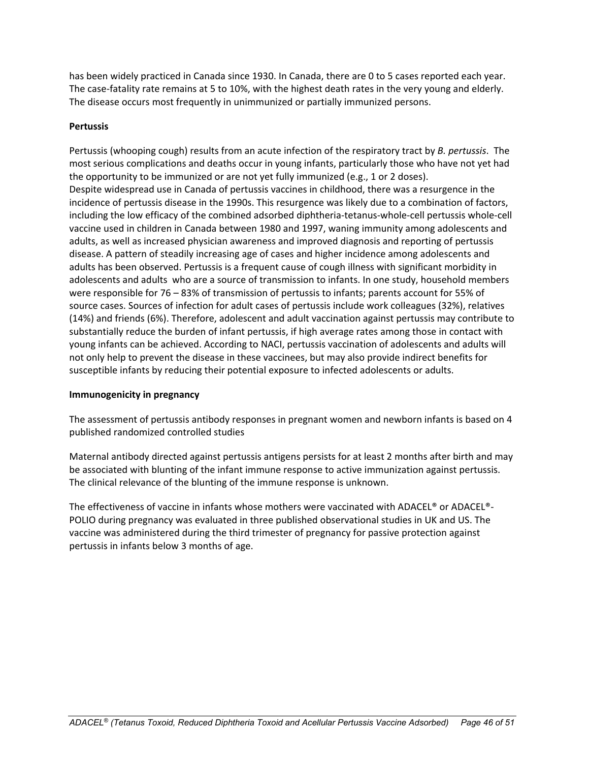has been widely practiced in Canada since 1930. In Canada, there are 0 to 5 cases reported each year. The case-fatality rate remains at 5 to 10%, with the highest death rates in the very young and elderly. The disease occurs most frequently in unimmunized or partially immunized persons.

## **Pertussis**

Pertussis (whooping cough) results from an acute infection of the respiratory tract by *B. pertussis*. The most serious complications and deaths occur in young infants, particularly those who have not yet had the opportunity to be immunized or are not yet fully immunized (e.g., 1 or 2 doses). Despite widespread use in Canada of pertussis vaccines in childhood, there was a resurgence in the incidence of pertussis disease in the 1990s. This resurgence was likely due to a combination of factors, including the low efficacy of the combined adsorbed diphtheria-tetanus-whole-cell pertussis whole-cell vaccine used in children in Canada between 1980 and 1997, waning immunity among adolescents and adults, as well as increased physician awareness and improved diagnosis and reporting of pertussis disease. A pattern of steadily increasing age of cases and higher incidence among adolescents and adults has been observed. Pertussis is a frequent cause of cough illness with significant morbidity in adolescents and adults who are a source of transmission to infants. In one study, household members were responsible for 76 – 83% of transmission of pertussis to infants; parents account for 55% of source cases. Sources of infection for adult cases of pertussis include work colleagues (32%), relatives (14%) and friends (6%). Therefore, adolescent and adult vaccination against pertussis may contribute to substantially reduce the burden of infant pertussis, if high average rates among those in contact with young infants can be achieved. According to NACI, pertussis vaccination of adolescents and adults will not only help to prevent the disease in these vaccinees, but may also provide indirect benefits for susceptible infants by reducing their potential exposure to infected adolescents or adults.

#### <span id="page-45-0"></span>**Immunogenicity in pregnancy**

The assessment of pertussis antibody responses in pregnant women and newborn infants is based on 4 published randomized controlled studies

Maternal antibody directed against pertussis antigens persists for at least 2 months after birth and may be associated with blunting of the infant immune response to active immunization against pertussis. The clinical relevance of the blunting of the immune response is unknown.

The effectiveness of vaccine in infants whose mothers were vaccinated with ADACEL® or ADACEL®- POLIO during pregnancy was evaluated in three published observational studies in UK and US. The vaccine was administered during the third trimester of pregnancy for passive protection against pertussis in infants below 3 months of age.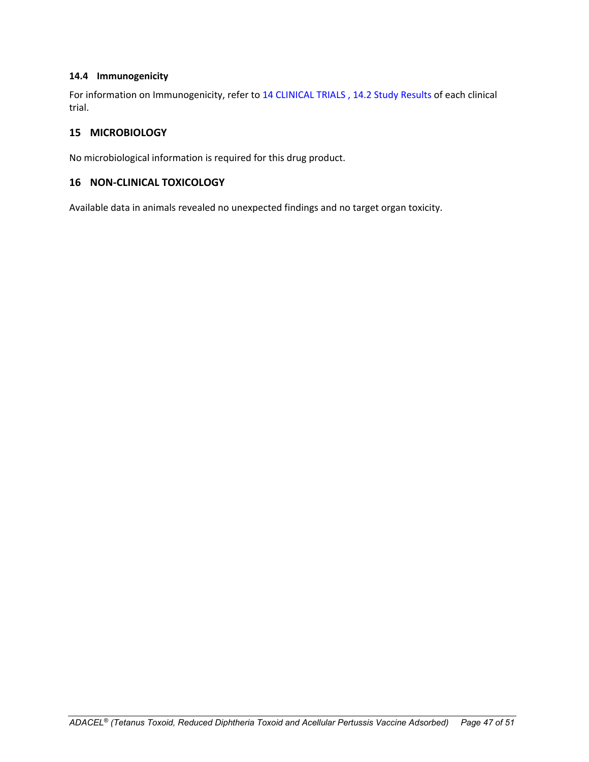#### <span id="page-46-0"></span>**14.4 Immunogenicity**

For information on Immunogenicity, refer to 1[4 CLINICAL TRIALS](#page-16-0) , 14.2 [Study Results](#page-17-0) of each clinical trial.

## <span id="page-46-1"></span>**15 MICROBIOLOGY**

No microbiological information is required for this drug product.

## <span id="page-46-2"></span>**16 NON-CLINICAL TOXICOLOGY**

Available data in animals revealed no unexpected findings and no target organ toxicity.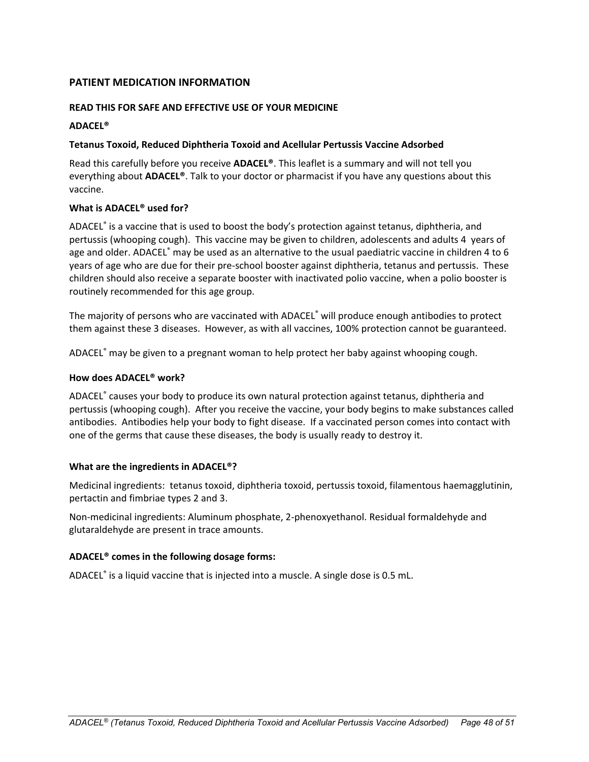## <span id="page-47-0"></span>**PATIENT MEDICATION INFORMATION**

## **READ THIS FOR SAFE AND EFFECTIVE USE OF YOUR MEDICINE**

#### **ADACEL®**

#### **Tetanus Toxoid, Reduced Diphtheria Toxoid and Acellular Pertussis Vaccine Adsorbed**

Read this carefully before you receive **ADACEL®**. This leaflet is a summary and will not tell you everything about **ADACEL®**. Talk to your doctor or pharmacist if you have any questions about this vaccine.

## **What is ADACEL® used for?**

ADACEL® is a vaccine that is used to boost the body's protection against tetanus, diphtheria, and pertussis (whooping cough). This vaccine may be given to children, adolescents and adults 4 years of age and older. ADACEL® may be used as an alternative to the usual paediatric vaccine in children 4 to 6 years of age who are due for their pre-school booster against diphtheria, tetanus and pertussis. These children should also receive a separate booster with inactivated polio vaccine, when a polio booster is routinely recommended for this age group.

The majority of persons who are vaccinated with ADACEL<sup>®</sup> will produce enough antibodies to protect them against these 3 diseases. However, as with all vaccines, 100% protection cannot be guaranteed.

ADACEL® may be given to a pregnant woman to help protect her baby against whooping cough.

## **How does ADACEL® work?**

ADACEL® causes your body to produce its own natural protection against tetanus, diphtheria and pertussis (whooping cough). After you receive the vaccine, your body begins to make substances called antibodies. Antibodies help your body to fight disease. If a vaccinated person comes into contact with one of the germs that cause these diseases, the body is usually ready to destroy it.

#### **What are the ingredients in ADACEL®?**

Medicinal ingredients:tetanus toxoid, diphtheria toxoid, pertussis toxoid, filamentous haemagglutinin, pertactin and fimbriae types 2 and 3.

Non-medicinal ingredients: Aluminum phosphate, 2-phenoxyethanol. Residual formaldehyde and glutaraldehyde are present in trace amounts.

#### **ADACEL® comes in the following dosage forms:**

ADACEL® is a liquid vaccine that is injected into a muscle. A single dose is 0.5 mL.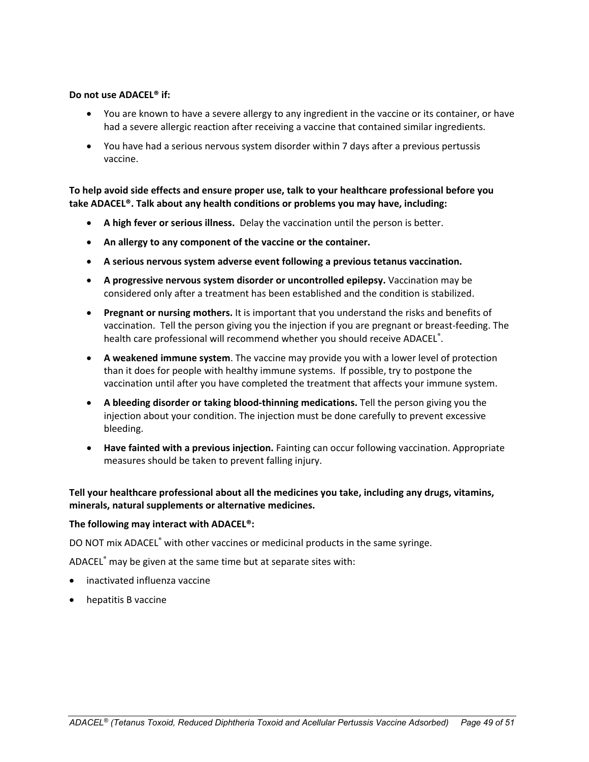#### **Do not use ADACEL® if:**

- You are known to have a severe allergy to any ingredient in the vaccine or its container, or have had a severe allergic reaction after receiving a vaccine that contained similar ingredients.
- You have had a serious nervous system disorder within 7 days after a previous pertussis vaccine.

**To help avoid side effects and ensure proper use, talk to your healthcare professional before you take ADACEL®. Talk about any health conditions or problems you may have, including:**

- **A high fever or serious illness.** Delay the vaccination until the person is better.
- **An allergy to any component of the vaccine or the container.**
- **A serious nervous system adverse event following a previous tetanus vaccination.**
- **A progressive nervous system disorder or uncontrolled epilepsy.** Vaccination may be considered only after a treatment has been established and the condition is stabilized.
- **Pregnant or nursing mothers.** It is important that you understand the risks and benefits of vaccination. Tell the person giving you the injection if you are pregnant or breast-feeding. The health care professional will recommend whether you should receive ADACEL®.
- **A weakened immune system**. The vaccine may provide you with a lower level of protection than it does for people with healthy immune systems. If possible, try to postpone the vaccination until after you have completed the treatment that affects your immune system.
- **A bleeding disorder or taking blood-thinning medications.** Tell the person giving you the injection about your condition. The injection must be done carefully to prevent excessive bleeding.
- **Have fainted with a previous injection.** Fainting can occur following vaccination. Appropriate measures should be taken to prevent falling injury.

## **Tell your healthcare professional about all the medicines you take, including any drugs, vitamins, minerals, natural supplements or alternative medicines.**

#### **The following may interact with ADACEL®:**

DO NOT mix ADACEL<sup>®</sup> with other vaccines or medicinal products in the same syringe.

ADACEL® may be given at the same time but at separate sites with:

- inactivated influenza vaccine
- hepatitis B vaccine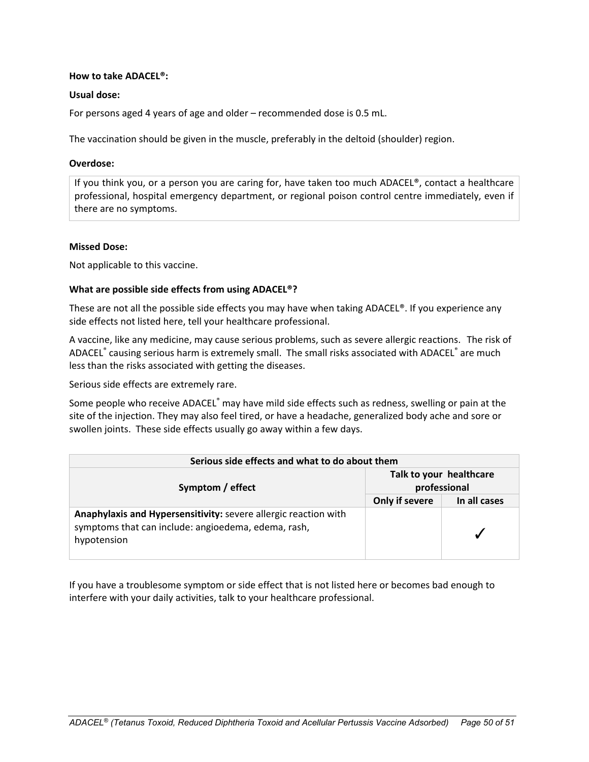#### **How to take ADACEL®:**

#### **Usual dose:**

For persons aged 4 years of age and older – recommended dose is 0.5 mL.

The vaccination should be given in the muscle, preferably in the deltoid (shoulder) region.

#### **Overdose:**

If you think you, or a person you are caring for, have taken too much ADACEL®, contact a healthcare professional, hospital emergency department, or regional poison control centre immediately, even if there are no symptoms.

#### **Missed Dose:**

Not applicable to this vaccine.

#### **What are possible side effects from using ADACEL®?**

These are not all the possible side effects you may have when taking ADACEL®. If you experience any side effects not listed here, tell your healthcare professional.

A vaccine, like any medicine, may cause serious problems, such as severe allergic reactions. The risk of ADACEL<sup>®</sup> causing serious harm is extremely small. The small risks associated with ADACEL<sup>®</sup> are much less than the risks associated with getting the diseases.

Serious side effects are extremely rare.

Some people who receive ADACEL<sup>®</sup> may have mild side effects such as redness, swelling or pain at the site of the injection. They may also feel tired, or have a headache, generalized body ache and sore or swollen joints. These side effects usually go away within a few days.

| Serious side effects and what to do about them                                                                                        |                                         |              |  |  |  |
|---------------------------------------------------------------------------------------------------------------------------------------|-----------------------------------------|--------------|--|--|--|
| Symptom / effect                                                                                                                      | Talk to your healthcare<br>professional |              |  |  |  |
|                                                                                                                                       | Only if severe                          | In all cases |  |  |  |
| Anaphylaxis and Hypersensitivity: severe allergic reaction with<br>symptoms that can include: angioedema, edema, rash,<br>hypotension |                                         |              |  |  |  |

If you have a troublesome symptom or side effect that is not listed here or becomes bad enough to interfere with your daily activities, talk to your healthcare professional.